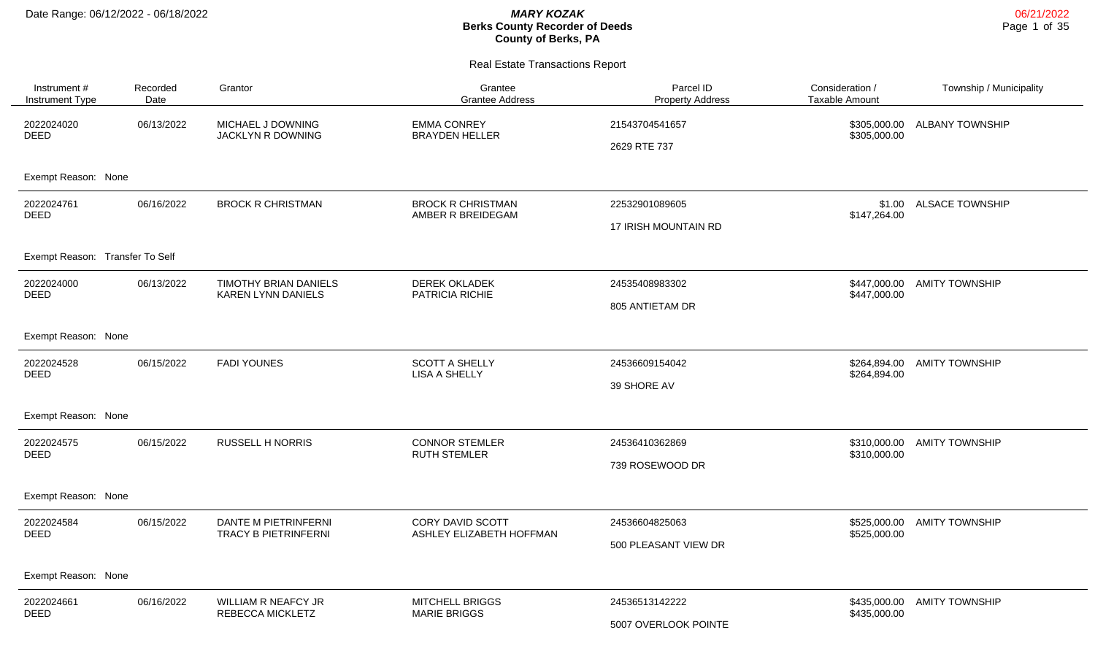| Instrument #<br>Instrument Type | Recorded<br>Date | Grantor                                                   | Grantee<br><b>Grantee Address</b>             | Parcel ID<br><b>Property Address</b>          | Consideration /<br><b>Taxable Amount</b> | Township / Municipality |
|---------------------------------|------------------|-----------------------------------------------------------|-----------------------------------------------|-----------------------------------------------|------------------------------------------|-------------------------|
| 2022024020<br><b>DEED</b>       | 06/13/2022       | MICHAEL J DOWNING<br>JACKLYN R DOWNING                    | <b>EMMA CONREY</b><br><b>BRAYDEN HELLER</b>   | 21543704541657<br>2629 RTE 737                | \$305,000.00<br>\$305,000.00             | <b>ALBANY TOWNSHIP</b>  |
| Exempt Reason: None             |                  |                                                           |                                               |                                               |                                          |                         |
| 2022024761<br><b>DEED</b>       | 06/16/2022       | <b>BROCK R CHRISTMAN</b>                                  | <b>BROCK R CHRISTMAN</b><br>AMBER R BREIDEGAM | 22532901089605<br><b>17 IRISH MOUNTAIN RD</b> | \$1.00<br>\$147,264.00                   | <b>ALSACE TOWNSHIP</b>  |
| Exempt Reason: Transfer To Self |                  |                                                           |                                               |                                               |                                          |                         |
| 2022024000<br><b>DEED</b>       | 06/13/2022       | <b>TIMOTHY BRIAN DANIELS</b><br><b>KAREN LYNN DANIELS</b> | <b>DEREK OKLADEK</b><br>PATRICIA RICHIE       | 24535408983302<br>805 ANTIETAM DR             | \$447,000.00<br>\$447,000.00             | <b>AMITY TOWNSHIP</b>   |
| Exempt Reason: None             |                  |                                                           |                                               |                                               |                                          |                         |
| 2022024528<br><b>DEED</b>       | 06/15/2022       | <b>FADI YOUNES</b>                                        | <b>SCOTT A SHELLY</b><br><b>LISA A SHELLY</b> | 24536609154042<br>39 SHORE AV                 | \$264,894.00<br>\$264,894.00             | <b>AMITY TOWNSHIP</b>   |
| Exempt Reason: None             |                  |                                                           |                                               |                                               |                                          |                         |
| 2022024575<br><b>DEED</b>       | 06/15/2022       | <b>RUSSELL H NORRIS</b>                                   | <b>CONNOR STEMLER</b><br><b>RUTH STEMLER</b>  | 24536410362869<br>739 ROSEWOOD DR             | \$310,000.00<br>\$310,000.00             | <b>AMITY TOWNSHIP</b>   |
| Exempt Reason: None             |                  |                                                           |                                               |                                               |                                          |                         |
| 2022024584<br><b>DEED</b>       | 06/15/2022       | DANTE M PIETRINFERNI<br>TRACY B PIETRINFERNI              | CORY DAVID SCOTT<br>ASHLEY ELIZABETH HOFFMAN  | 24536604825063<br>500 PLEASANT VIEW DR        | \$525,000.00<br>\$525,000.00             | <b>AMITY TOWNSHIP</b>   |
| Exempt Reason: None             |                  |                                                           |                                               |                                               |                                          |                         |
| 2022024661<br><b>DEED</b>       | 06/16/2022       | <b>WILLIAM R NEAFCY JR</b><br>REBECCA MICKLETZ            | <b>MITCHELL BRIGGS</b><br><b>MARIE BRIGGS</b> | 24536513142222<br>5007 OVERLOOK POINTE        | \$435,000.00<br>\$435,000.00             | <b>AMITY TOWNSHIP</b>   |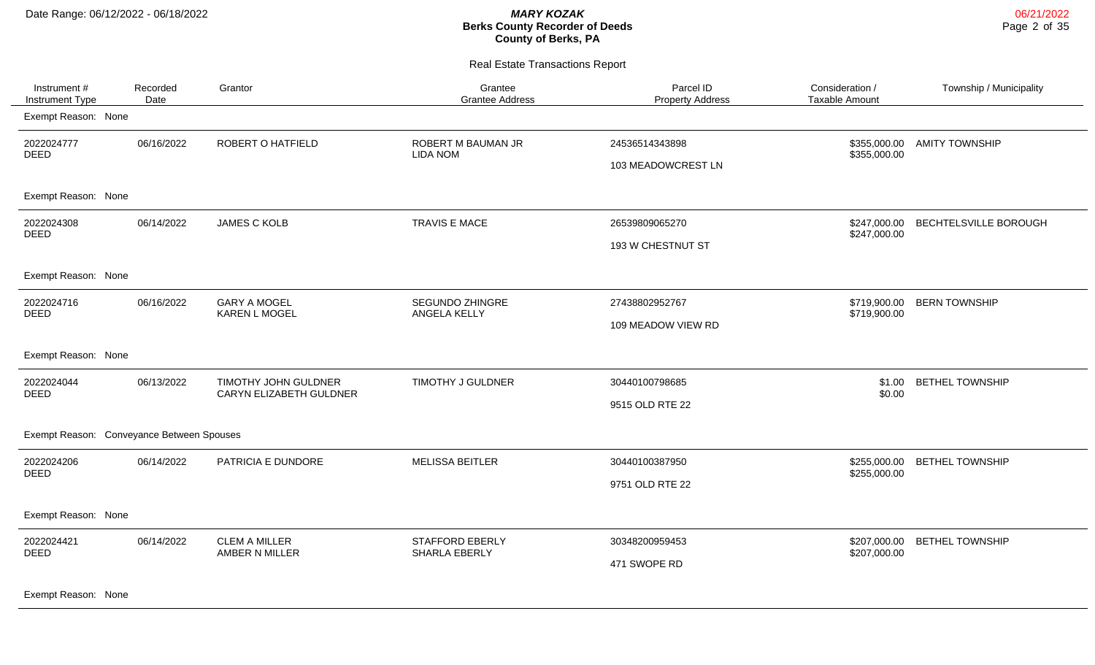Real Estate Transactions Report

| Instrument #<br>Instrument Type           | Recorded<br>Date | Grantor                                         | Grantee<br><b>Grantee Address</b>       | Parcel ID<br><b>Property Address</b> | Consideration /<br><b>Taxable Amount</b> | Township / Municipality |
|-------------------------------------------|------------------|-------------------------------------------------|-----------------------------------------|--------------------------------------|------------------------------------------|-------------------------|
| Exempt Reason: None                       |                  |                                                 |                                         |                                      |                                          |                         |
| 2022024777<br><b>DEED</b>                 | 06/16/2022       | ROBERT O HATFIELD                               | ROBERT M BAUMAN JR<br><b>LIDA NOM</b>   | 24536514343898<br>103 MEADOWCREST LN | \$355,000.00<br>\$355,000.00             | <b>AMITY TOWNSHIP</b>   |
| Exempt Reason: None                       |                  |                                                 |                                         |                                      |                                          |                         |
| 2022024308<br><b>DEED</b>                 | 06/14/2022       | <b>JAMES C KOLB</b>                             | TRAVIS E MACE                           | 26539809065270<br>193 W CHESTNUT ST  | \$247,000.00<br>\$247,000.00             | BECHTELSVILLE BOROUGH   |
| Exempt Reason: None                       |                  |                                                 |                                         |                                      |                                          |                         |
| 2022024716<br><b>DEED</b>                 | 06/16/2022       | <b>GARY A MOGEL</b><br><b>KAREN L MOGEL</b>     | <b>SEGUNDO ZHINGRE</b><br>ANGELA KELLY  | 27438802952767<br>109 MEADOW VIEW RD | \$719,900.00<br>\$719,900.00             | <b>BERN TOWNSHIP</b>    |
| Exempt Reason: None                       |                  |                                                 |                                         |                                      |                                          |                         |
| 2022024044<br><b>DEED</b>                 | 06/13/2022       | TIMOTHY JOHN GULDNER<br>CARYN ELIZABETH GULDNER | TIMOTHY J GULDNER                       | 30440100798685<br>9515 OLD RTE 22    | \$1.00<br>\$0.00                         | <b>BETHEL TOWNSHIP</b>  |
| Exempt Reason: Conveyance Between Spouses |                  |                                                 |                                         |                                      |                                          |                         |
| 2022024206<br><b>DEED</b>                 | 06/14/2022       | PATRICIA E DUNDORE                              | <b>MELISSA BEITLER</b>                  | 30440100387950<br>9751 OLD RTE 22    | \$255,000.00<br>\$255,000.00             | <b>BETHEL TOWNSHIP</b>  |
| Exempt Reason: None                       |                  |                                                 |                                         |                                      |                                          |                         |
| 2022024421<br><b>DEED</b>                 | 06/14/2022       | <b>CLEM A MILLER</b><br>AMBER N MILLER          | <b>STAFFORD EBERLY</b><br>SHARLA EBERLY | 30348200959453<br>471 SWOPE RD       | \$207,000.00<br>\$207,000.00             | <b>BETHEL TOWNSHIP</b>  |

Exempt Reason: None

06/21/2022 Page 2 of 35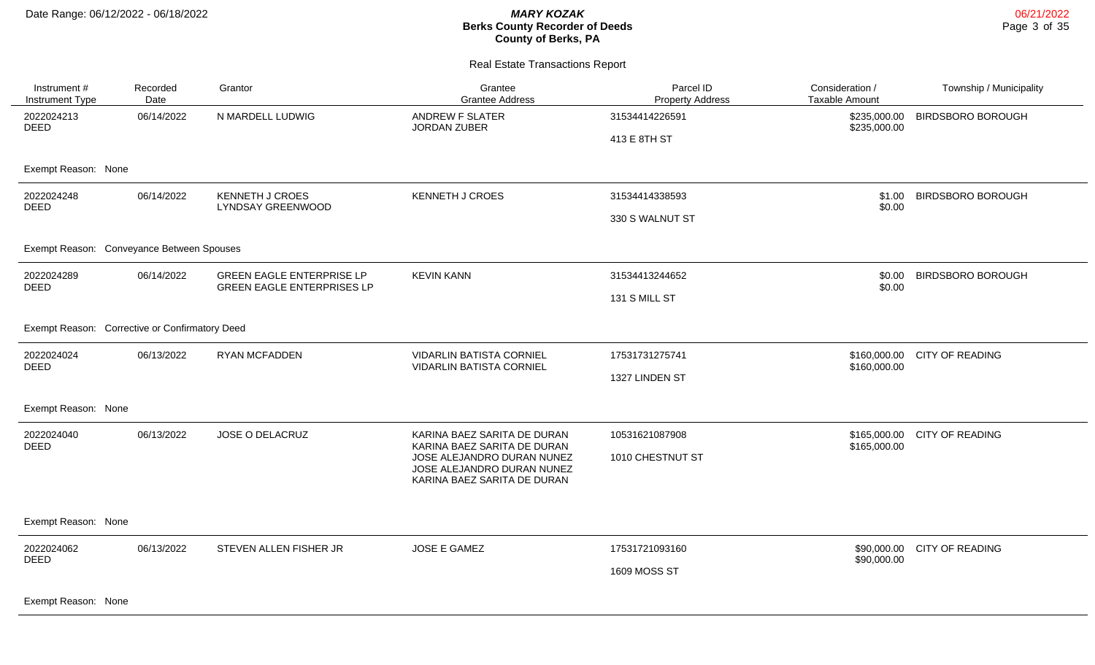| Instrument #<br>Instrument Type                | Recorded<br>Date | Grantor                                                               | Grantee<br><b>Grantee Address</b>                                                       | Parcel ID<br><b>Property Address</b> | Consideration /<br><b>Taxable Amount</b> | Township / Municipality  |  |  |
|------------------------------------------------|------------------|-----------------------------------------------------------------------|-----------------------------------------------------------------------------------------|--------------------------------------|------------------------------------------|--------------------------|--|--|
| 2022024213<br><b>DEED</b>                      | 06/14/2022       | N MARDELL LUDWIG                                                      | <b>ANDREW F SLATER</b><br>JORDAN ZUBER                                                  | 31534414226591                       | \$235,000.00<br>\$235,000.00             | <b>BIRDSBORO BOROUGH</b> |  |  |
|                                                |                  |                                                                       |                                                                                         | 413 E 8TH ST                         |                                          |                          |  |  |
| Exempt Reason: None                            |                  |                                                                       |                                                                                         |                                      |                                          |                          |  |  |
| 2022024248<br><b>DEED</b>                      | 06/14/2022       | <b>KENNETH J CROES</b><br><b>LYNDSAY GREENWOOD</b>                    | <b>KENNETH J CROES</b>                                                                  | 31534414338593                       | \$1.00<br>\$0.00                         | <b>BIRDSBORO BOROUGH</b> |  |  |
|                                                |                  |                                                                       |                                                                                         | 330 S WALNUT ST                      |                                          |                          |  |  |
| Exempt Reason: Conveyance Between Spouses      |                  |                                                                       |                                                                                         |                                      |                                          |                          |  |  |
| 2022024289<br><b>DEED</b>                      | 06/14/2022       | <b>GREEN EAGLE ENTERPRISE LP</b><br><b>GREEN EAGLE ENTERPRISES LP</b> | <b>KEVIN KANN</b>                                                                       | 31534413244652                       | \$0.00                                   | <b>BIRDSBORO BOROUGH</b> |  |  |
|                                                |                  |                                                                       |                                                                                         | 131 S MILL ST                        | \$0.00                                   |                          |  |  |
| Exempt Reason: Corrective or Confirmatory Deed |                  |                                                                       |                                                                                         |                                      |                                          |                          |  |  |
| 2022024024<br><b>DEED</b>                      | 06/13/2022       | <b>RYAN MCFADDEN</b>                                                  | <b>VIDARLIN BATISTA CORNIEL</b><br><b>VIDARLIN BATISTA CORNIEL</b>                      | 17531731275741                       | \$160,000.00<br>\$160,000.00             | CITY OF READING          |  |  |
|                                                |                  |                                                                       |                                                                                         | 1327 LINDEN ST                       |                                          |                          |  |  |
| Exempt Reason: None                            |                  |                                                                       |                                                                                         |                                      |                                          |                          |  |  |
| 2022024040<br><b>DEED</b>                      | 06/13/2022       | JOSE O DELACRUZ                                                       | KARINA BAEZ SARITA DE DURAN<br>KARINA BAEZ SARITA DE DURAN                              | 10531621087908                       | \$165,000.00<br>\$165,000.00             | <b>CITY OF READING</b>   |  |  |
|                                                |                  |                                                                       | JOSE ALEJANDRO DURAN NUNEZ<br>JOSE ALEJANDRO DURAN NUNEZ<br>KARINA BAEZ SARITA DE DURAN | 1010 CHESTNUT ST                     |                                          |                          |  |  |
| Exempt Reason: None                            |                  |                                                                       |                                                                                         |                                      |                                          |                          |  |  |
| 2022024062<br><b>DEED</b>                      | 06/13/2022       | STEVEN ALLEN FISHER JR                                                | <b>JOSE E GAMEZ</b>                                                                     | 17531721093160                       | \$90,000.00<br>\$90,000.00               | <b>CITY OF READING</b>   |  |  |
|                                                |                  |                                                                       |                                                                                         | <b>1609 MOSS ST</b>                  |                                          |                          |  |  |
| Exempt Reason: None                            |                  |                                                                       |                                                                                         |                                      |                                          |                          |  |  |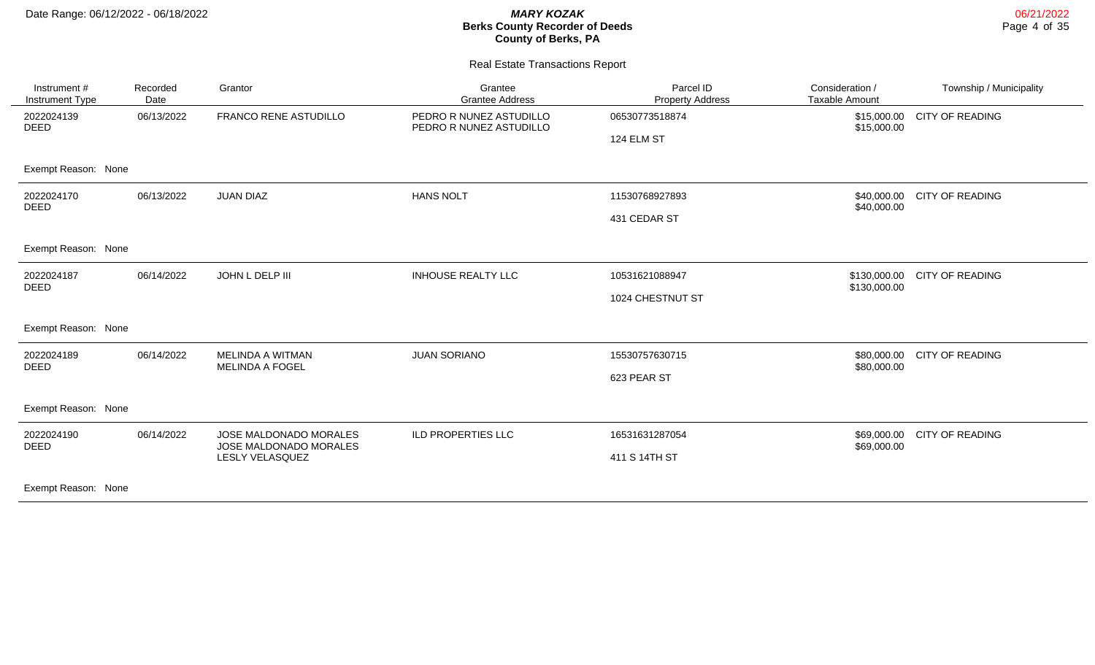| Instrument #<br>Instrument Type | Recorded<br>Date | Grantor                                          | Grantee<br><b>Grantee Address</b>                  | Parcel ID<br><b>Property Address</b> | Consideration /<br><b>Taxable Amount</b> | Township / Municipality |
|---------------------------------|------------------|--------------------------------------------------|----------------------------------------------------|--------------------------------------|------------------------------------------|-------------------------|
| 2022024139<br><b>DEED</b>       | 06/13/2022       | <b>FRANCO RENE ASTUDILLO</b>                     | PEDRO R NUNEZ ASTUDILLO<br>PEDRO R NUNEZ ASTUDILLO | 06530773518874<br>124 ELM ST         | \$15,000.00<br>\$15,000.00               | <b>CITY OF READING</b>  |
| Exempt Reason: None             |                  |                                                  |                                                    |                                      |                                          |                         |
| 2022024170<br><b>DEED</b>       | 06/13/2022       | <b>JUAN DIAZ</b>                                 | <b>HANS NOLT</b>                                   | 11530768927893                       | \$40,000.00<br>\$40,000.00               | <b>CITY OF READING</b>  |
|                                 |                  |                                                  |                                                    | 431 CEDAR ST                         |                                          |                         |
| Exempt Reason: None             |                  |                                                  |                                                    |                                      |                                          |                         |
| 2022024187<br><b>DEED</b>       | 06/14/2022       | JOHN L DELP III<br><b>INHOUSE REALTY LLC</b>     |                                                    | 10531621088947                       | \$130,000.00<br>\$130,000.00             | <b>CITY OF READING</b>  |
|                                 |                  |                                                  |                                                    | 1024 CHESTNUT ST                     |                                          |                         |
| Exempt Reason: None             |                  |                                                  |                                                    |                                      |                                          |                         |
| 2022024189<br><b>DEED</b>       | 06/14/2022       | MELINDA A WITMAN<br><b>MELINDA A FOGEL</b>       | <b>JUAN SORIANO</b>                                | 15530757630715                       | \$80,000.00<br>\$80,000.00               | <b>CITY OF READING</b>  |
|                                 |                  |                                                  |                                                    | 623 PEAR ST                          |                                          |                         |
| Exempt Reason: None             |                  |                                                  |                                                    |                                      |                                          |                         |
| 2022024190<br><b>DEED</b>       | 06/14/2022       | JOSE MALDONADO MORALES<br>JOSE MALDONADO MORALES | ILD PROPERTIES LLC                                 | 16531631287054                       | \$69,000.00<br>\$69,000.00               | <b>CITY OF READING</b>  |
|                                 | LESLY VELASQUEZ  |                                                  |                                                    | 411 S 14TH ST                        |                                          |                         |
| Exempt Reason: None             |                  |                                                  |                                                    |                                      |                                          |                         |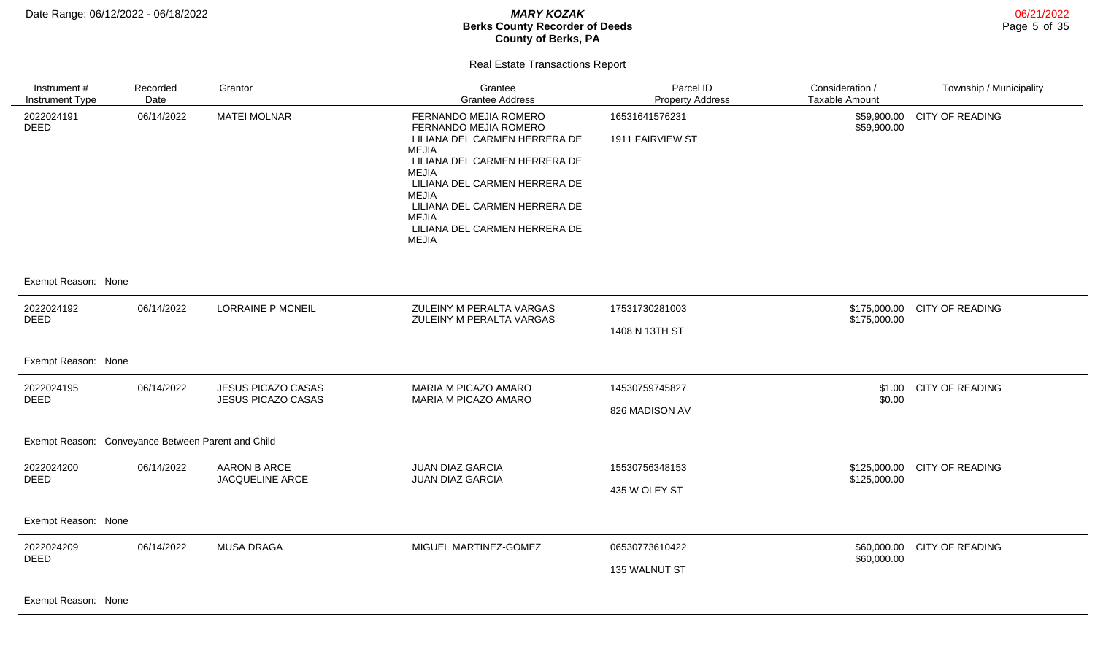06/21/2022 Page 5 of 35

### Real Estate Transactions Report

| Instrument #<br>Instrument Type                                                                                                                                                                                                                                                                                                                                                                                   | Recorded<br>Date | Grantor                                         | Grantee<br><b>Grantee Address</b>                                                                                                                                                                                                                                                     | Parcel ID<br><b>Property Address</b> | Consideration /<br><b>Taxable Amount</b> | Township / Municipality     |
|-------------------------------------------------------------------------------------------------------------------------------------------------------------------------------------------------------------------------------------------------------------------------------------------------------------------------------------------------------------------------------------------------------------------|------------------|-------------------------------------------------|---------------------------------------------------------------------------------------------------------------------------------------------------------------------------------------------------------------------------------------------------------------------------------------|--------------------------------------|------------------------------------------|-----------------------------|
| 2022024191<br><b>DEED</b>                                                                                                                                                                                                                                                                                                                                                                                         | 06/14/2022       | <b>MATEI MOLNAR</b>                             | FERNANDO MEJIA ROMERO<br>FERNANDO MEJIA ROMERO<br>LILIANA DEL CARMEN HERRERA DE<br>MEJIA<br>LILIANA DEL CARMEN HERRERA DE<br><b>MEJIA</b><br>LILIANA DEL CARMEN HERRERA DE<br>MEJIA<br>LILIANA DEL CARMEN HERRERA DE<br><b>MEJIA</b><br>LILIANA DEL CARMEN HERRERA DE<br><b>MEJIA</b> | 16531641576231<br>1911 FAIRVIEW ST   | \$59,900.00<br>\$59,900.00               | <b>CITY OF READING</b>      |
| Exempt Reason: None                                                                                                                                                                                                                                                                                                                                                                                               |                  |                                                 |                                                                                                                                                                                                                                                                                       |                                      |                                          |                             |
| 2022024192<br><b>DEED</b>                                                                                                                                                                                                                                                                                                                                                                                         | 06/14/2022       | <b>LORRAINE P MCNEIL</b>                        | ZULEINY M PERALTA VARGAS<br>ZULEINY M PERALTA VARGAS                                                                                                                                                                                                                                  | 17531730281003<br>1408 N 13TH ST     | \$175,000.00<br>\$175,000.00             | <b>CITY OF READING</b>      |
| Exempt Reason: None                                                                                                                                                                                                                                                                                                                                                                                               |                  |                                                 |                                                                                                                                                                                                                                                                                       |                                      |                                          |                             |
| 2022024195<br><b>DEED</b>                                                                                                                                                                                                                                                                                                                                                                                         | 06/14/2022       | <b>JESUS PICAZO CASAS</b><br>JESUS PICAZO CASAS | MARIA M PICAZO AMARO<br>MARIA M PICAZO AMARO                                                                                                                                                                                                                                          | 14530759745827<br>826 MADISON AV     | \$1.00<br>\$0.00                         | <b>CITY OF READING</b>      |
| Exempt Reason: Conveyance Between Parent and Child                                                                                                                                                                                                                                                                                                                                                                |                  |                                                 |                                                                                                                                                                                                                                                                                       |                                      |                                          |                             |
| 2022024200<br><b>DEED</b>                                                                                                                                                                                                                                                                                                                                                                                         | 06/14/2022       | AARON B ARCE<br>JACQUELINE ARCE                 | <b>JUAN DIAZ GARCIA</b><br><b>JUAN DIAZ GARCIA</b>                                                                                                                                                                                                                                    | 15530756348153<br>435 W OLEY ST      | \$125,000.00<br>\$125,000.00             | CITY OF READING             |
| Exempt Reason: None                                                                                                                                                                                                                                                                                                                                                                                               |                  |                                                 |                                                                                                                                                                                                                                                                                       |                                      |                                          |                             |
| 2022024209<br><b>DEED</b><br>$\overline{a}$ $\overline{a}$ $\overline{b}$ $\overline{a}$ $\overline{b}$ $\overline{a}$ $\overline{b}$ $\overline{a}$ $\overline{b}$ $\overline{a}$ $\overline{b}$ $\overline{a}$ $\overline{b}$ $\overline{a}$ $\overline{b}$ $\overline{a}$ $\overline{b}$ $\overline{a}$ $\overline{b}$ $\overline{a}$ $\overline{b}$ $\overline{a}$ $\overline{b}$ $\overline{a}$ $\overline{$ | 06/14/2022       | <b>MUSA DRAGA</b>                               | MIGUEL MARTINEZ-GOMEZ                                                                                                                                                                                                                                                                 | 06530773610422<br>135 WALNUT ST      | \$60,000.00                              | \$60,000.00 CITY OF READING |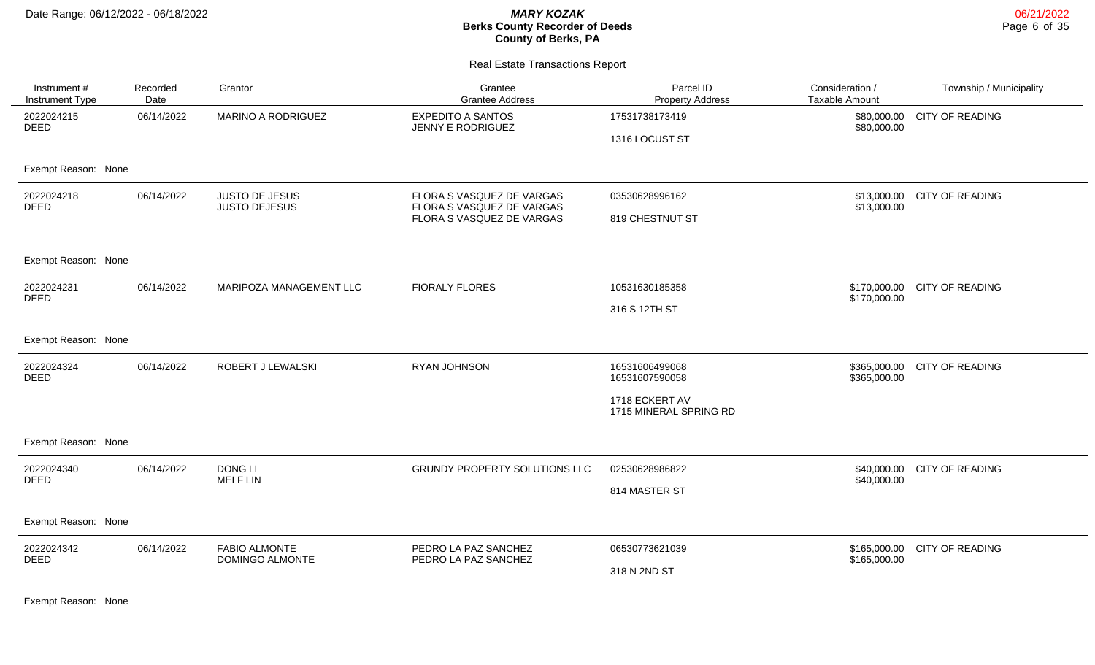| Instrument #<br>Instrument Type | Recorded<br>Date | Grantor                                       | Grantee<br><b>Grantee Address</b>                                                   | Parcel ID<br><b>Property Address</b>     | Consideration /<br><b>Taxable Amount</b> | Township / Municipality |
|---------------------------------|------------------|-----------------------------------------------|-------------------------------------------------------------------------------------|------------------------------------------|------------------------------------------|-------------------------|
| 2022024215<br><b>DEED</b>       | 06/14/2022       | MARINO A RODRIGUEZ                            | <b>EXPEDITO A SANTOS</b><br><b>JENNY E RODRIGUEZ</b>                                | 17531738173419<br>1316 LOCUST ST         | \$80,000.00<br>\$80,000.00               | <b>CITY OF READING</b>  |
| Exempt Reason: None             |                  |                                               |                                                                                     |                                          |                                          |                         |
| 2022024218<br><b>DEED</b>       | 06/14/2022       | <b>JUSTO DE JESUS</b><br><b>JUSTO DEJESUS</b> | FLORA S VASQUEZ DE VARGAS<br>FLORA S VASQUEZ DE VARGAS<br>FLORA S VASQUEZ DE VARGAS | 03530628996162<br>819 CHESTNUT ST        | \$13,000.00<br>\$13,000.00               | <b>CITY OF READING</b>  |
| Exempt Reason: None             |                  |                                               |                                                                                     |                                          |                                          |                         |
| 2022024231<br><b>DEED</b>       | 06/14/2022       | MARIPOZA MANAGEMENT LLC                       | <b>FIORALY FLORES</b>                                                               | 10531630185358<br>316 S 12TH ST          | \$170,000.00<br>\$170,000.00             | <b>CITY OF READING</b>  |
| Exempt Reason: None             |                  |                                               |                                                                                     |                                          |                                          |                         |
| 2022024324<br><b>DEED</b>       | 06/14/2022       | ROBERT J LEWALSKI                             | RYAN JOHNSON                                                                        | 16531606499068<br>16531607590058         | \$365,000.00<br>\$365,000.00             | <b>CITY OF READING</b>  |
|                                 |                  |                                               |                                                                                     | 1718 ECKERT AV<br>1715 MINERAL SPRING RD |                                          |                         |
| Exempt Reason: None             |                  |                                               |                                                                                     |                                          |                                          |                         |
| 2022024340<br><b>DEED</b>       | 06/14/2022       | <b>DONG LI</b><br><b>MEIFLIN</b>              | <b>GRUNDY PROPERTY SOLUTIONS LLC</b>                                                | 02530628986822                           | \$40,000.00<br>\$40,000.00               | CITY OF READING         |
|                                 |                  |                                               |                                                                                     | 814 MASTER ST                            |                                          |                         |
| Exempt Reason: None             |                  |                                               |                                                                                     |                                          |                                          |                         |
| 2022024342<br><b>DEED</b>       | 06/14/2022       | <b>FABIO ALMONTE</b><br>DOMINGO ALMONTE       | PEDRO LA PAZ SANCHEZ<br>PEDRO LA PAZ SANCHEZ                                        | 06530773621039                           | \$165,000.00                             | <b>CITY OF READING</b>  |
|                                 |                  |                                               |                                                                                     | 318 N 2ND ST                             | \$165,000.00                             |                         |
| Exempt Reason: None             |                  |                                               |                                                                                     |                                          |                                          |                         |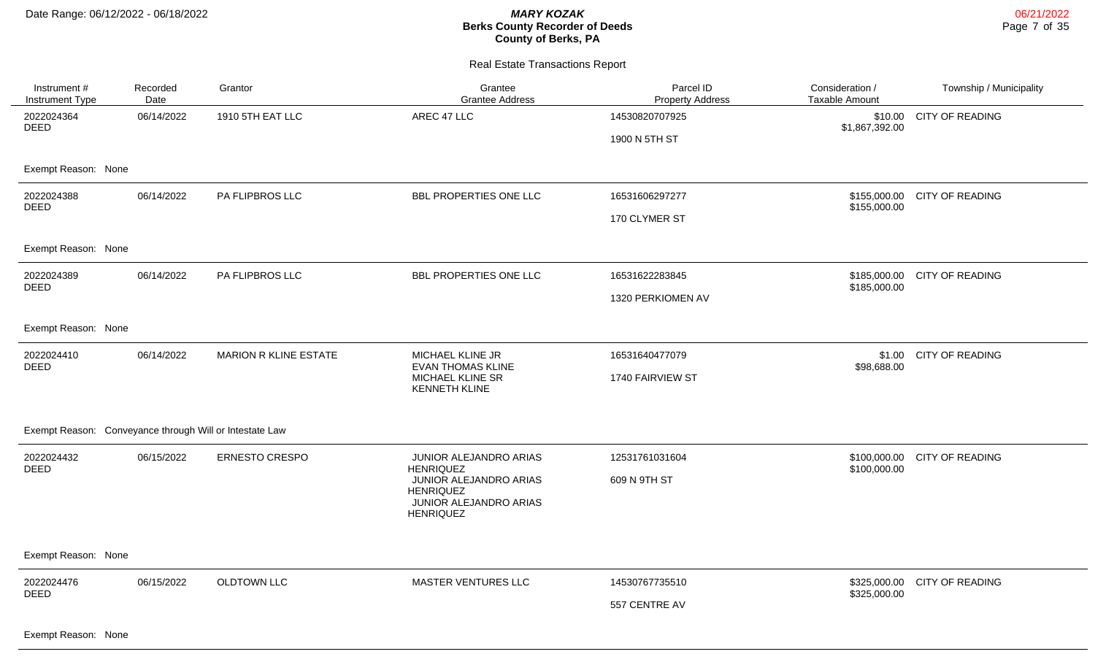| Instrument #<br>Instrument Type                         | Recorded<br>Date | Grantor                      | Grantee<br><b>Grantee Address</b>                                                        | Parcel ID<br><b>Property Address</b> | Consideration /<br>Taxable Amount | Township / Municipality      |  |  |
|---------------------------------------------------------|------------------|------------------------------|------------------------------------------------------------------------------------------|--------------------------------------|-----------------------------------|------------------------------|--|--|
| 2022024364<br><b>DEED</b>                               | 06/14/2022       | 1910 5TH EAT LLC             | AREC 47 LLC                                                                              | 14530820707925                       | \$10.00<br>\$1,867,392.00         | <b>CITY OF READING</b>       |  |  |
|                                                         |                  |                              |                                                                                          | 1900 N 5TH ST                        |                                   |                              |  |  |
| Exempt Reason: None                                     |                  |                              |                                                                                          |                                      |                                   |                              |  |  |
| 2022024388<br><b>DEED</b>                               | 06/14/2022       | PA FLIPBROS LLC              | BBL PROPERTIES ONE LLC                                                                   | 16531606297277                       | \$155,000.00                      | \$155,000.00 CITY OF READING |  |  |
|                                                         |                  |                              |                                                                                          | 170 CLYMER ST                        |                                   |                              |  |  |
| Exempt Reason: None                                     |                  |                              |                                                                                          |                                      |                                   |                              |  |  |
| 2022024389<br><b>DEED</b>                               | 06/14/2022       | PA FLIPBROS LLC              | BBL PROPERTIES ONE LLC                                                                   | 16531622283845                       | \$185,000.00                      | \$185,000.00 CITY OF READING |  |  |
|                                                         |                  |                              |                                                                                          | 1320 PERKIOMEN AV                    |                                   |                              |  |  |
| Exempt Reason: None                                     |                  |                              |                                                                                          |                                      |                                   |                              |  |  |
| 2022024410<br><b>DEED</b>                               | 06/14/2022       | <b>MARION R KLINE ESTATE</b> | MICHAEL KLINE JR<br><b>EVAN THOMAS KLINE</b>                                             | 16531640477079                       | \$98,688.00                       | \$1.00 CITY OF READING       |  |  |
|                                                         |                  |                              | MICHAEL KLINE SR<br><b>KENNETH KLINE</b>                                                 | 1740 FAIRVIEW ST                     |                                   |                              |  |  |
| Exempt Reason: Conveyance through Will or Intestate Law |                  |                              |                                                                                          |                                      |                                   |                              |  |  |
| 2022024432<br><b>DEED</b>                               | 06/15/2022       | <b>ERNESTO CRESPO</b>        | JUNIOR ALEJANDRO ARIAS<br><b>HENRIQUEZ</b>                                               | 12531761031604                       | \$100,000.00                      | \$100,000.00 CITY OF READING |  |  |
|                                                         |                  |                              | JUNIOR ALEJANDRO ARIAS<br><b>HENRIQUEZ</b><br>JUNIOR ALEJANDRO ARIAS<br><b>HENRIQUEZ</b> | 609 N 9TH ST                         |                                   |                              |  |  |
|                                                         |                  |                              |                                                                                          |                                      |                                   |                              |  |  |
| Exempt Reason: None                                     |                  |                              |                                                                                          |                                      |                                   |                              |  |  |
| 2022024476<br><b>DEED</b>                               | 06/15/2022       | OLDTOWN LLC                  | MASTER VENTURES LLC                                                                      | 14530767735510                       | \$325,000.00                      | \$325,000.00 CITY OF READING |  |  |
|                                                         |                  |                              |                                                                                          | 557 CENTRE AV                        |                                   |                              |  |  |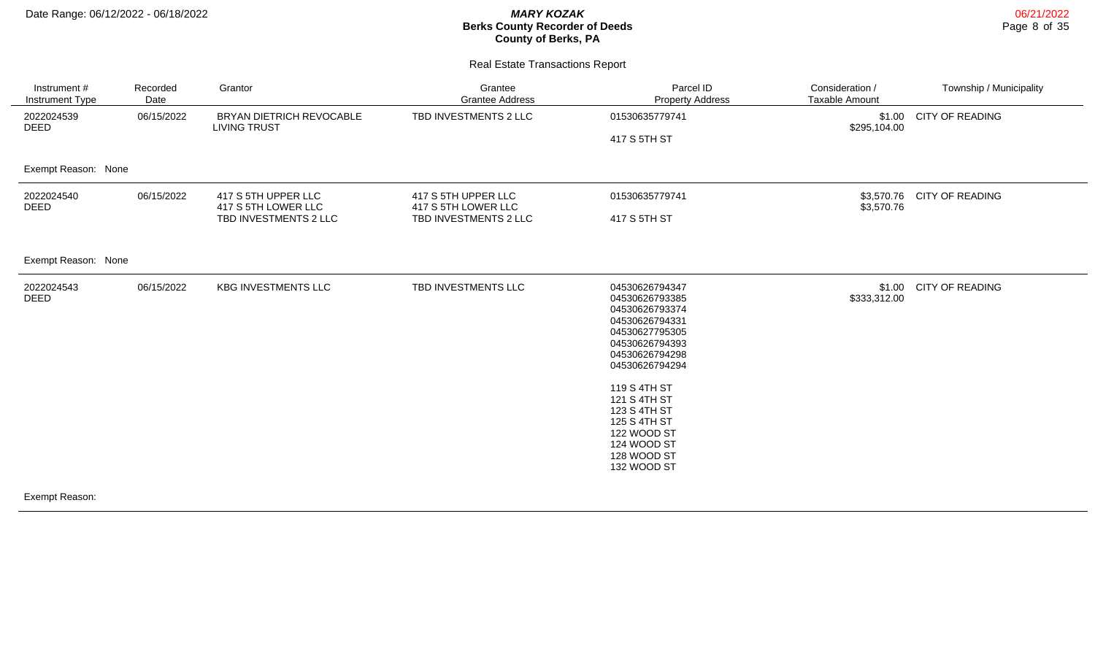Real Estate Transactions Report

| Instrument #<br>Instrument Type | Recorded<br>Date | Grantor                                                             | Grantee<br><b>Grantee Address</b>                                   | Parcel ID<br><b>Property Address</b>                                                                                                                                                                                                                                     | Consideration /<br><b>Taxable Amount</b> | Township / Municipality    |
|---------------------------------|------------------|---------------------------------------------------------------------|---------------------------------------------------------------------|--------------------------------------------------------------------------------------------------------------------------------------------------------------------------------------------------------------------------------------------------------------------------|------------------------------------------|----------------------------|
| 2022024539<br><b>DEED</b>       | 06/15/2022       | BRYAN DIETRICH REVOCABLE<br><b>LIVING TRUST</b>                     | TBD INVESTMENTS 2 LLC                                               | 01530635779741<br>417 S 5TH ST                                                                                                                                                                                                                                           | \$295,104.00                             | \$1.00 CITY OF READING     |
| Exempt Reason: None             |                  |                                                                     |                                                                     |                                                                                                                                                                                                                                                                          |                                          |                            |
| 2022024540<br><b>DEED</b>       | 06/15/2022       | 417 S 5TH UPPER LLC<br>417 S 5TH LOWER LLC<br>TBD INVESTMENTS 2 LLC | 417 S 5TH UPPER LLC<br>417 S 5TH LOWER LLC<br>TBD INVESTMENTS 2 LLC | 01530635779741<br>417 S 5TH ST                                                                                                                                                                                                                                           | \$3,570.76                               | \$3,570.76 CITY OF READING |
| Exempt Reason: None             |                  |                                                                     |                                                                     |                                                                                                                                                                                                                                                                          |                                          |                            |
| 2022024543<br><b>DEED</b>       | 06/15/2022       | <b>KBG INVESTMENTS LLC</b>                                          | TBD INVESTMENTS LLC                                                 | 04530626794347<br>04530626793385<br>04530626793374<br>04530626794331<br>04530627795305<br>04530626794393<br>04530626794298<br>04530626794294<br>119 S 4TH ST<br>121 S 4TH ST<br>123 S 4TH ST<br>125 S 4TH ST<br>122 WOOD ST<br>124 WOOD ST<br>128 WOOD ST<br>132 WOOD ST | \$1.00<br>\$333,312.00                   | <b>CITY OF READING</b>     |

Exempt Reason: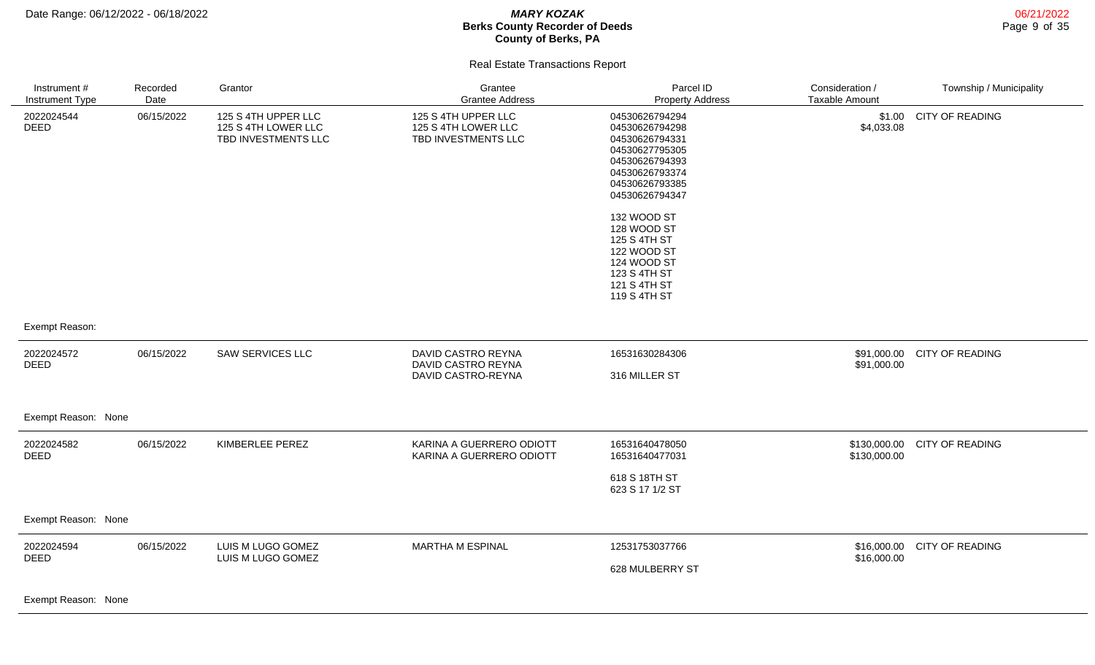06/21/2022 Page 9 of 35

### Real Estate Transactions Report

| Instrument#<br><b>Instrument Type</b>                                                                                                                                                                                                                                                                                                                                                                             | Recorded<br>Date | Grantor                                                           | Grantee<br><b>Grantee Address</b>                                 | Parcel ID<br><b>Property Address</b>                                                                                                         | Consideration /<br><b>Taxable Amount</b> | Township / Municipality |
|-------------------------------------------------------------------------------------------------------------------------------------------------------------------------------------------------------------------------------------------------------------------------------------------------------------------------------------------------------------------------------------------------------------------|------------------|-------------------------------------------------------------------|-------------------------------------------------------------------|----------------------------------------------------------------------------------------------------------------------------------------------|------------------------------------------|-------------------------|
| 2022024544<br><b>DEED</b>                                                                                                                                                                                                                                                                                                                                                                                         | 06/15/2022       | 125 S 4TH UPPER LLC<br>125 S 4TH LOWER LLC<br>TBD INVESTMENTS LLC | 125 S 4TH UPPER LLC<br>125 S 4TH LOWER LLC<br>TBD INVESTMENTS LLC | 04530626794294<br>04530626794298<br>04530626794331<br>04530627795305<br>04530626794393<br>04530626793374<br>04530626793385<br>04530626794347 | \$1.00<br>\$4,033.08                     | CITY OF READING         |
|                                                                                                                                                                                                                                                                                                                                                                                                                   |                  |                                                                   |                                                                   | 132 WOOD ST<br>128 WOOD ST<br>125 S 4TH ST<br>122 WOOD ST<br>124 WOOD ST<br>123 S 4TH ST<br>121 S 4TH ST<br>119 S 4TH ST                     |                                          |                         |
| Exempt Reason:                                                                                                                                                                                                                                                                                                                                                                                                    |                  |                                                                   |                                                                   |                                                                                                                                              |                                          |                         |
| 2022024572<br><b>DEED</b>                                                                                                                                                                                                                                                                                                                                                                                         | 06/15/2022       | <b>SAW SERVICES LLC</b>                                           | DAVID CASTRO REYNA<br>DAVID CASTRO REYNA<br>DAVID CASTRO-REYNA    | 16531630284306<br>316 MILLER ST                                                                                                              | \$91,000.00<br>\$91,000.00               | <b>CITY OF READING</b>  |
| Exempt Reason: None                                                                                                                                                                                                                                                                                                                                                                                               |                  |                                                                   |                                                                   |                                                                                                                                              |                                          |                         |
| 2022024582<br><b>DEED</b>                                                                                                                                                                                                                                                                                                                                                                                         | 06/15/2022       | KIMBERLEE PEREZ                                                   | KARINA A GUERRERO ODIOTT<br>KARINA A GUERRERO ODIOTT              | 16531640478050<br>16531640477031<br>618 S 18TH ST<br>623 S 17 1/2 ST                                                                         | \$130,000.00<br>\$130,000.00             | <b>CITY OF READING</b>  |
| Exempt Reason: None                                                                                                                                                                                                                                                                                                                                                                                               |                  |                                                                   |                                                                   |                                                                                                                                              |                                          |                         |
| 2022024594<br><b>DEED</b><br>$\overline{a}$ $\overline{a}$ $\overline{b}$ $\overline{a}$ $\overline{b}$ $\overline{a}$ $\overline{b}$ $\overline{a}$ $\overline{b}$ $\overline{a}$ $\overline{b}$ $\overline{a}$ $\overline{b}$ $\overline{a}$ $\overline{b}$ $\overline{a}$ $\overline{b}$ $\overline{a}$ $\overline{b}$ $\overline{a}$ $\overline{b}$ $\overline{a}$ $\overline{b}$ $\overline{a}$ $\overline{$ | 06/15/2022       | LUIS M LUGO GOMEZ<br>LUIS M LUGO GOMEZ                            | <b>MARTHA M ESPINAL</b>                                           | 12531753037766<br>628 MULBERRY ST                                                                                                            | \$16,000.00<br>\$16,000.00               | <b>CITY OF READING</b>  |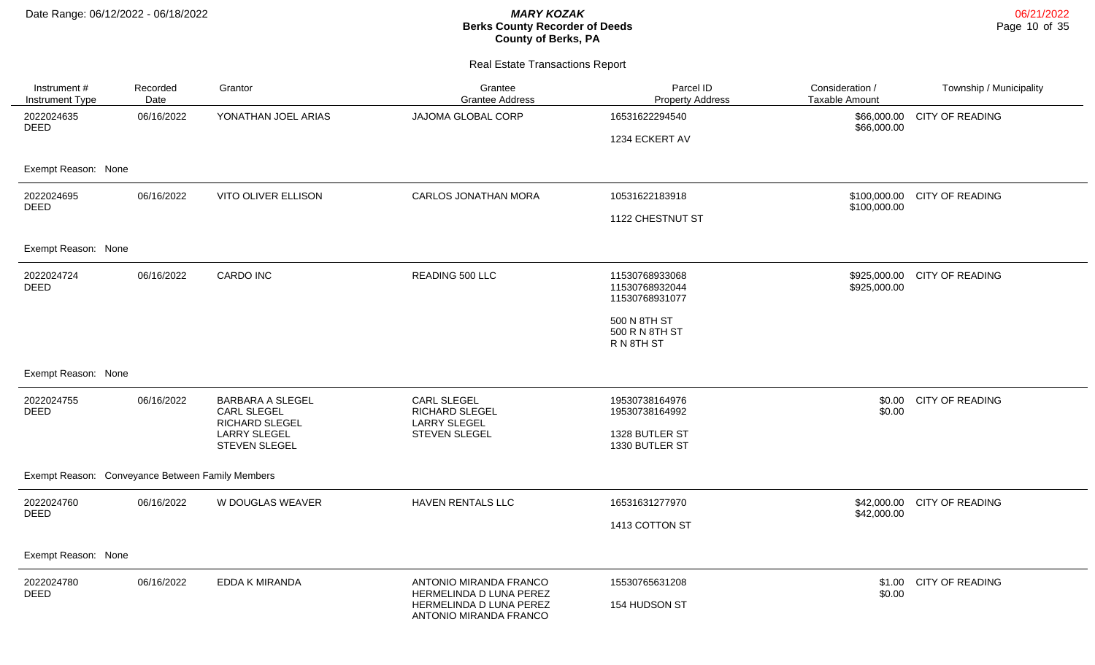| Instrument #<br>Instrument Type                  | Recorded<br>Date | Grantor                                                         | Grantee<br><b>Grantee Address</b>                                            | Parcel ID<br><b>Property Address</b>               | Consideration /<br>Taxable Amount | Township / Municipality |  |  |
|--------------------------------------------------|------------------|-----------------------------------------------------------------|------------------------------------------------------------------------------|----------------------------------------------------|-----------------------------------|-------------------------|--|--|
| 2022024635<br><b>DEED</b>                        | 06/16/2022       | YONATHAN JOEL ARIAS                                             | JAJOMA GLOBAL CORP                                                           | 16531622294540                                     | \$66,000.00<br>\$66,000.00        | <b>CITY OF READING</b>  |  |  |
|                                                  |                  |                                                                 |                                                                              | 1234 ECKERT AV                                     |                                   |                         |  |  |
| Exempt Reason: None                              |                  |                                                                 |                                                                              |                                                    |                                   |                         |  |  |
| 2022024695<br><b>DEED</b>                        | 06/16/2022       | <b>VITO OLIVER ELLISON</b>                                      | <b>CARLOS JONATHAN MORA</b>                                                  | 10531622183918                                     | \$100,000.00<br>\$100,000.00      | <b>CITY OF READING</b>  |  |  |
|                                                  |                  |                                                                 |                                                                              | 1122 CHESTNUT ST                                   |                                   |                         |  |  |
| Exempt Reason: None                              |                  |                                                                 |                                                                              |                                                    |                                   |                         |  |  |
| 2022024724<br><b>DEED</b>                        | 06/16/2022       | <b>CARDO INC</b>                                                | READING 500 LLC                                                              | 11530768933068<br>11530768932044<br>11530768931077 | \$925,000.00<br>\$925,000.00      | <b>CITY OF READING</b>  |  |  |
|                                                  |                  |                                                                 |                                                                              | 500 N 8TH ST<br>500 R N 8TH ST<br>R N 8TH ST       |                                   |                         |  |  |
| Exempt Reason: None                              |                  |                                                                 |                                                                              |                                                    |                                   |                         |  |  |
| 2022024755<br><b>DEED</b>                        | 06/16/2022       | <b>BARBARA A SLEGEL</b><br>CARL SLEGEL<br><b>RICHARD SLEGEL</b> | CARL SLEGEL<br>RICHARD SLEGEL<br><b>LARRY SLEGEL</b>                         | 19530738164976<br>19530738164992                   | \$0.00<br>\$0.00                  | <b>CITY OF READING</b>  |  |  |
|                                                  |                  | <b>LARRY SLEGEL</b><br>STEVEN SLEGEL                            | STEVEN SLEGEL                                                                | 1328 BUTLER ST<br>1330 BUTLER ST                   |                                   |                         |  |  |
| Exempt Reason: Conveyance Between Family Members |                  |                                                                 |                                                                              |                                                    |                                   |                         |  |  |
| 2022024760                                       | 06/16/2022       | W DOUGLAS WEAVER                                                | <b>HAVEN RENTALS LLC</b>                                                     | 16531631277970                                     | \$42,000.00                       | <b>CITY OF READING</b>  |  |  |
| <b>DEED</b>                                      |                  |                                                                 |                                                                              | 1413 COTTON ST                                     | \$42,000.00                       |                         |  |  |
| Exempt Reason: None                              |                  |                                                                 |                                                                              |                                                    |                                   |                         |  |  |
| 2022024780                                       | 06/16/2022       | EDDA K MIRANDA                                                  | ANTONIO MIRANDA FRANCO                                                       | 15530765631208                                     | \$1.00                            | <b>CITY OF READING</b>  |  |  |
| <b>DEED</b>                                      |                  |                                                                 | HERMELINDA D LUNA PEREZ<br>HERMELINDA D LUNA PEREZ<br>ANTONIO MIRANDA FRANCO | 154 HUDSON ST                                      | \$0.00                            |                         |  |  |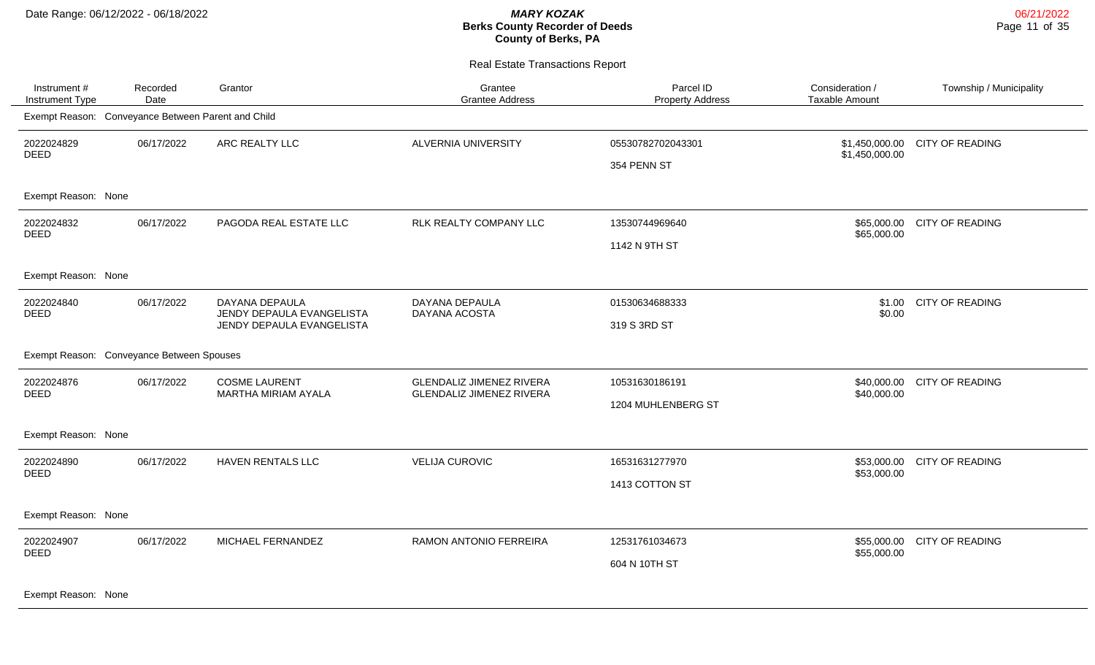| Instrument #<br>Instrument Type                    | Recorded<br>Date | Grantor                                                                  | Grantee<br><b>Grantee Address</b>                                  | Parcel ID<br><b>Property Address</b> | Consideration /<br><b>Taxable Amount</b> | Township / Municipality |
|----------------------------------------------------|------------------|--------------------------------------------------------------------------|--------------------------------------------------------------------|--------------------------------------|------------------------------------------|-------------------------|
| Exempt Reason: Conveyance Between Parent and Child |                  |                                                                          |                                                                    |                                      |                                          |                         |
| 2022024829<br><b>DEED</b>                          | 06/17/2022       | ARC REALTY LLC                                                           | ALVERNIA UNIVERSITY                                                | 05530782702043301<br>354 PENN ST     | \$1,450,000.00<br>\$1,450,000.00         | <b>CITY OF READING</b>  |
| Exempt Reason: None                                |                  |                                                                          |                                                                    |                                      |                                          |                         |
| 2022024832<br><b>DEED</b>                          | 06/17/2022       | PAGODA REAL ESTATE LLC                                                   | RLK REALTY COMPANY LLC                                             | 13530744969640<br>1142 N 9TH ST      | \$65,000.00<br>\$65,000.00               | <b>CITY OF READING</b>  |
| Exempt Reason: None                                |                  |                                                                          |                                                                    |                                      |                                          |                         |
| 2022024840<br><b>DEED</b>                          | 06/17/2022       | DAYANA DEPAULA<br>JENDY DEPAULA EVANGELISTA<br>JENDY DEPAULA EVANGELISTA | DAYANA DEPAULA<br>DAYANA ACOSTA                                    | 01530634688333<br>319 S 3RD ST       | \$1.00<br>\$0.00                         | CITY OF READING         |
| Exempt Reason: Conveyance Between Spouses          |                  |                                                                          |                                                                    |                                      |                                          |                         |
| 2022024876<br><b>DEED</b>                          | 06/17/2022       | <b>COSME LAURENT</b><br>MARTHA MIRIAM AYALA                              | <b>GLENDALIZ JIMENEZ RIVERA</b><br><b>GLENDALIZ JIMENEZ RIVERA</b> | 10531630186191<br>1204 MUHLENBERG ST | \$40,000.00<br>\$40,000.00               | CITY OF READING         |
| Exempt Reason: None                                |                  |                                                                          |                                                                    |                                      |                                          |                         |
| 2022024890<br><b>DEED</b>                          | 06/17/2022       | HAVEN RENTALS LLC                                                        | <b>VELIJA CUROVIC</b>                                              | 16531631277970<br>1413 COTTON ST     | \$53,000.00<br>\$53,000.00               | <b>CITY OF READING</b>  |
| Exempt Reason: None                                |                  |                                                                          |                                                                    |                                      |                                          |                         |
| 2022024907<br><b>DEED</b><br>Exempt Reason: None   | 06/17/2022       | MICHAEL FERNANDEZ                                                        | RAMON ANTONIO FERREIRA                                             | 12531761034673<br>604 N 10TH ST      | \$55,000.00<br>\$55,000.00               | <b>CITY OF READING</b>  |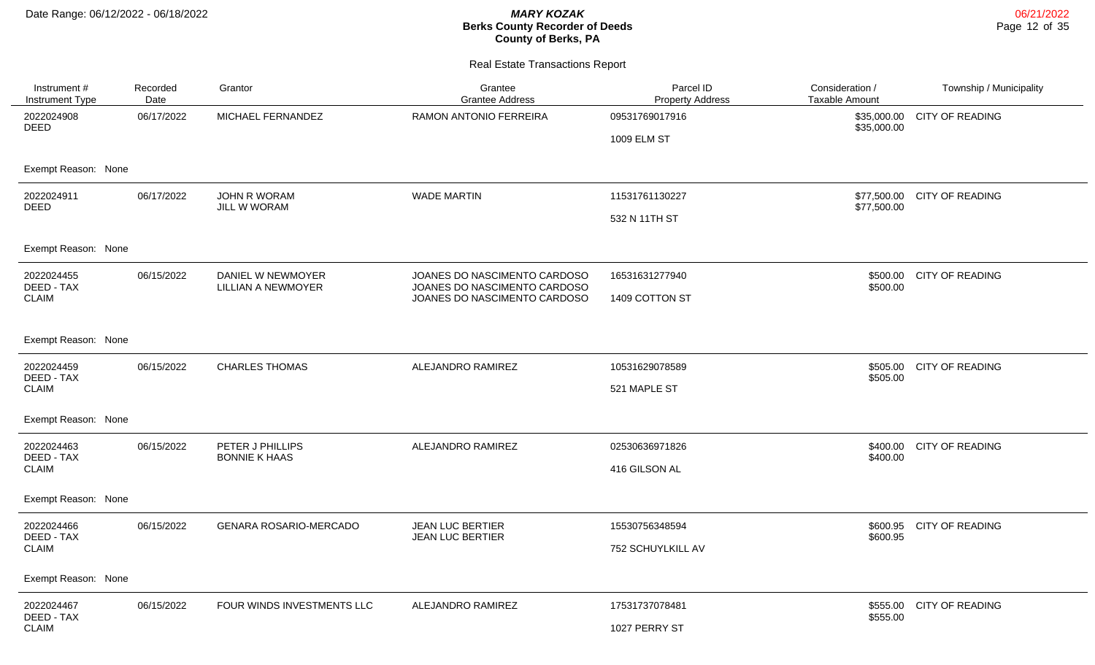| Instrument #<br>Instrument Type | Recorded<br>Date    | Grantor                                        | Grantee<br><b>Grantee Address</b>                            | Parcel ID<br><b>Property Address</b> | Consideration /<br><b>Taxable Amount</b> | Township / Municipality     |  |  |  |
|---------------------------------|---------------------|------------------------------------------------|--------------------------------------------------------------|--------------------------------------|------------------------------------------|-----------------------------|--|--|--|
| 2022024908<br><b>DEED</b>       | 06/17/2022          | MICHAEL FERNANDEZ                              | RAMON ANTONIO FERREIRA                                       | 09531769017916                       | \$35,000.00                              | \$35,000.00 CITY OF READING |  |  |  |
|                                 |                     |                                                |                                                              | 1009 ELM ST                          |                                          |                             |  |  |  |
| Exempt Reason: None             |                     |                                                |                                                              |                                      |                                          |                             |  |  |  |
| 2022024911<br><b>DEED</b>       | 06/17/2022          | <b>JOHN R WORAM</b><br><b>JILL W WORAM</b>     | <b>WADE MARTIN</b>                                           | 11531761130227                       | \$77,500.00                              | \$77,500.00 CITY OF READING |  |  |  |
|                                 |                     |                                                |                                                              | 532 N 11TH ST                        |                                          |                             |  |  |  |
| Exempt Reason: None             |                     |                                                |                                                              |                                      |                                          |                             |  |  |  |
| 2022024455<br>DEED - TAX        | 06/15/2022          | DANIEL W NEWMOYER<br><b>LILLIAN A NEWMOYER</b> | JOANES DO NASCIMENTO CARDOSO<br>JOANES DO NASCIMENTO CARDOSO | 16531631277940                       | \$500.00                                 | \$500.00 CITY OF READING    |  |  |  |
| <b>CLAIM</b>                    |                     |                                                | JOANES DO NASCIMENTO CARDOSO                                 | 1409 COTTON ST                       |                                          |                             |  |  |  |
| Exempt Reason: None             |                     |                                                |                                                              |                                      |                                          |                             |  |  |  |
| 2022024459<br>DEED - TAX        | 06/15/2022          | <b>CHARLES THOMAS</b>                          | ALEJANDRO RAMIREZ                                            | 10531629078589                       | \$505.00                                 | \$505.00 CITY OF READING    |  |  |  |
| <b>CLAIM</b>                    |                     |                                                |                                                              | 521 MAPLE ST                         |                                          |                             |  |  |  |
| Exempt Reason: None             |                     |                                                |                                                              |                                      |                                          |                             |  |  |  |
| 2022024463<br>DEED - TAX        | 06/15/2022          | PETER J PHILLIPS<br><b>BONNIE K HAAS</b>       | ALEJANDRO RAMIREZ                                            | 02530636971826                       | \$400.00<br>\$400.00                     | CITY OF READING             |  |  |  |
| <b>CLAIM</b>                    |                     |                                                |                                                              | 416 GILSON AL                        |                                          |                             |  |  |  |
| Exempt Reason: None             |                     |                                                |                                                              |                                      |                                          |                             |  |  |  |
| 2022024466<br>DEED - TAX        | 06/15/2022          | <b>GENARA ROSARIO-MERCADO</b>                  | <b>JEAN LUC BERTIER</b><br><b>JEAN LUC BERTIER</b>           | 15530756348594                       | \$600.95                                 | \$600.95 CITY OF READING    |  |  |  |
| <b>CLAIM</b>                    |                     |                                                |                                                              | 752 SCHUYLKILL AV                    |                                          |                             |  |  |  |
|                                 | Exempt Reason: None |                                                |                                                              |                                      |                                          |                             |  |  |  |
| 2022024467<br>DEED - TAX        | 06/15/2022          | FOUR WINDS INVESTMENTS LLC                     | ALEJANDRO RAMIREZ                                            | 17531737078481                       | \$555.00<br>\$555.00                     | CITY OF READING             |  |  |  |
| <b>CLAIM</b>                    |                     |                                                |                                                              | 1027 PERRY ST                        |                                          |                             |  |  |  |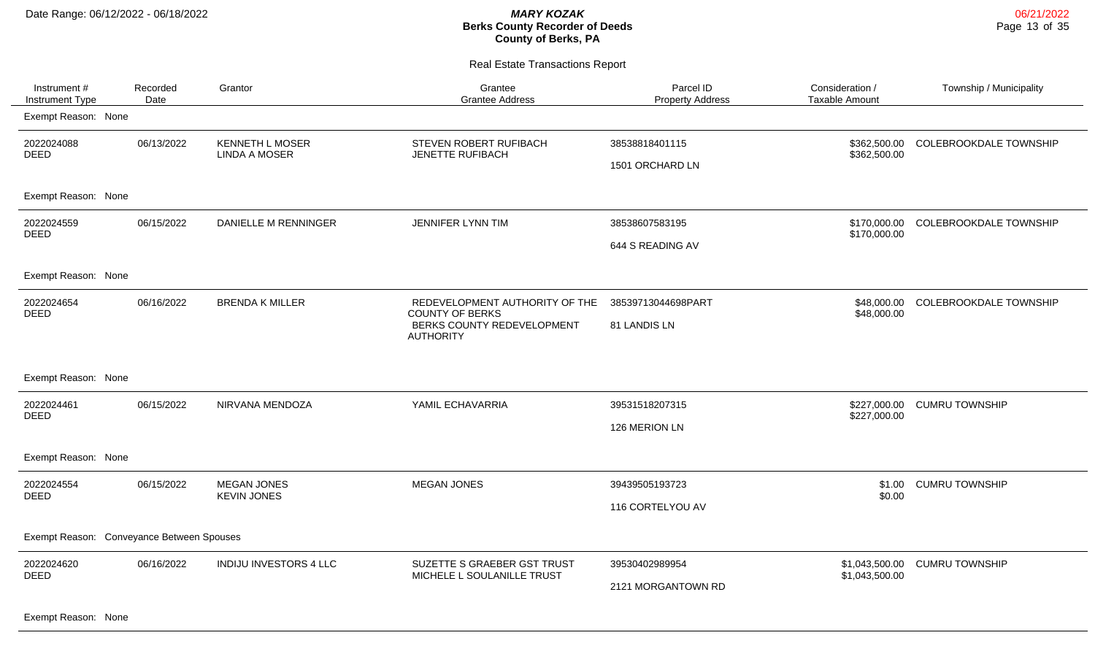Real Estate Transactions Report

| Instrument #<br><b>Instrument Type</b>    | Recorded<br>Date | Grantor                                        | Grantee<br><b>Grantee Address</b>                                                                          | Parcel ID<br><b>Property Address</b> | Consideration /<br><b>Taxable Amount</b> | Township / Municipality       |
|-------------------------------------------|------------------|------------------------------------------------|------------------------------------------------------------------------------------------------------------|--------------------------------------|------------------------------------------|-------------------------------|
| Exempt Reason: None                       |                  |                                                |                                                                                                            |                                      |                                          |                               |
| 2022024088<br><b>DEED</b>                 | 06/13/2022       | <b>KENNETH L MOSER</b><br><b>LINDA A MOSER</b> | STEVEN ROBERT RUFIBACH<br>JENETTE RUFIBACH                                                                 | 38538818401115<br>1501 ORCHARD LN    | \$362,500.00<br>\$362,500.00             | <b>COLEBROOKDALE TOWNSHIP</b> |
| Exempt Reason: None                       |                  |                                                |                                                                                                            |                                      |                                          |                               |
| 2022024559<br><b>DEED</b>                 | 06/15/2022       | <b>DANIELLE M RENNINGER</b>                    | JENNIFER LYNN TIM                                                                                          | 38538607583195<br>644 S READING AV   | \$170,000.00<br>\$170,000.00             | <b>COLEBROOKDALE TOWNSHIP</b> |
| Exempt Reason: None                       |                  |                                                |                                                                                                            |                                      |                                          |                               |
| 2022024654<br><b>DEED</b>                 | 06/16/2022       | <b>BRENDA K MILLER</b>                         | REDEVELOPMENT AUTHORITY OF THE<br><b>COUNTY OF BERKS</b><br>BERKS COUNTY REDEVELOPMENT<br><b>AUTHORITY</b> | 38539713044698PART<br>81 LANDIS LN   | \$48,000.00<br>\$48,000.00               | <b>COLEBROOKDALE TOWNSHIP</b> |
| Exempt Reason: None                       |                  |                                                |                                                                                                            |                                      |                                          |                               |
| 2022024461<br><b>DEED</b>                 | 06/15/2022       | NIRVANA MENDOZA                                | YAMIL ECHAVARRIA                                                                                           | 39531518207315<br>126 MERION LN      | \$227,000.00<br>\$227,000.00             | <b>CUMRU TOWNSHIP</b>         |
| Exempt Reason: None                       |                  |                                                |                                                                                                            |                                      |                                          |                               |
| 2022024554<br><b>DEED</b>                 | 06/15/2022       | <b>MEGAN JONES</b><br><b>KEVIN JONES</b>       | <b>MEGAN JONES</b>                                                                                         | 39439505193723<br>116 CORTELYOU AV   | \$1.00<br>\$0.00                         | <b>CUMRU TOWNSHIP</b>         |
| Exempt Reason: Conveyance Between Spouses |                  |                                                |                                                                                                            |                                      |                                          |                               |
| 2022024620<br>DEED                        | 06/16/2022       | <b>INDIJU INVESTORS 4 LLC</b>                  | SUZETTE S GRAEBER GST TRUST<br>MICHELE L SOULANILLE TRUST                                                  | 39530402989954<br>2121 MORGANTOWN RD | \$1,043,500.00<br>\$1,043,500.00         | <b>CUMRU TOWNSHIP</b>         |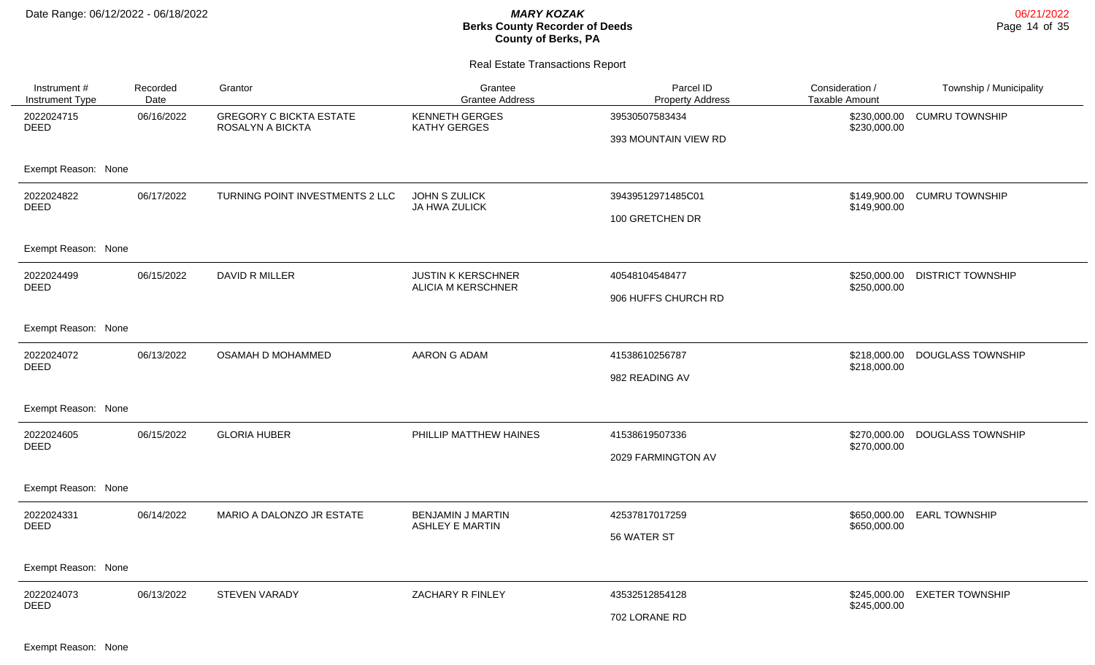### Real Estate Transactions Report

| Instrument #<br>Instrument Type | Recorded<br>Date | Grantor                                                   | Grantee<br><b>Grantee Address</b>                      | Parcel ID<br><b>Property Address</b>   | Consideration /<br><b>Taxable Amount</b> | Township / Municipality  |
|---------------------------------|------------------|-----------------------------------------------------------|--------------------------------------------------------|----------------------------------------|------------------------------------------|--------------------------|
| 2022024715<br><b>DEED</b>       | 06/16/2022       | <b>GREGORY C BICKTA ESTATE</b><br><b>ROSALYN A BICKTA</b> | <b>KENNETH GERGES</b><br><b>KATHY GERGES</b>           | 39530507583434<br>393 MOUNTAIN VIEW RD | \$230,000.00<br>\$230,000.00             | <b>CUMRU TOWNSHIP</b>    |
| Exempt Reason: None             |                  |                                                           |                                                        |                                        |                                          |                          |
| 2022024822<br><b>DEED</b>       | 06/17/2022       | TURNING POINT INVESTMENTS 2 LLC                           | JOHN S ZULICK<br>JA HWA ZULICK                         | 39439512971485C01<br>100 GRETCHEN DR   | \$149,900.00<br>\$149,900.00             | <b>CUMRU TOWNSHIP</b>    |
| Exempt Reason: None             |                  |                                                           |                                                        |                                        |                                          |                          |
| 2022024499<br><b>DEED</b>       | 06/15/2022       | DAVID R MILLER                                            | <b>JUSTIN K KERSCHNER</b><br><b>ALICIA M KERSCHNER</b> | 40548104548477<br>906 HUFFS CHURCH RD  | \$250,000,00<br>\$250,000.00             | <b>DISTRICT TOWNSHIP</b> |
| Exempt Reason: None             |                  |                                                           |                                                        |                                        |                                          |                          |
| 2022024072<br><b>DEED</b>       | 06/13/2022       | OSAMAH D MOHAMMED                                         | AARON G ADAM                                           | 41538610256787<br>982 READING AV       | \$218,000.00<br>\$218,000.00             | <b>DOUGLASS TOWNSHIP</b> |
| Exempt Reason: None             |                  |                                                           |                                                        |                                        |                                          |                          |
| 2022024605<br><b>DEED</b>       | 06/15/2022       | <b>GLORIA HUBER</b>                                       | PHILLIP MATTHEW HAINES                                 | 41538619507336<br>2029 FARMINGTON AV   | \$270,000.00<br>\$270,000.00             | <b>DOUGLASS TOWNSHIP</b> |
| Exempt Reason: None             |                  |                                                           |                                                        |                                        |                                          |                          |
| 2022024331<br><b>DEED</b>       | 06/14/2022       | MARIO A DALONZO JR ESTATE                                 | <b>BENJAMIN J MARTIN</b><br><b>ASHLEY E MARTIN</b>     | 42537817017259<br>56 WATER ST          | \$650,000.00<br>\$650,000.00             | <b>EARL TOWNSHIP</b>     |
| Exempt Reason: None             |                  |                                                           |                                                        |                                        |                                          |                          |
| 2022024073<br><b>DEED</b>       | 06/13/2022       | <b>STEVEN VARADY</b>                                      | ZACHARY R FINLEY                                       | 43532512854128<br>702 LORANE RD        | \$245,000.00<br>\$245,000.00             | <b>EXETER TOWNSHIP</b>   |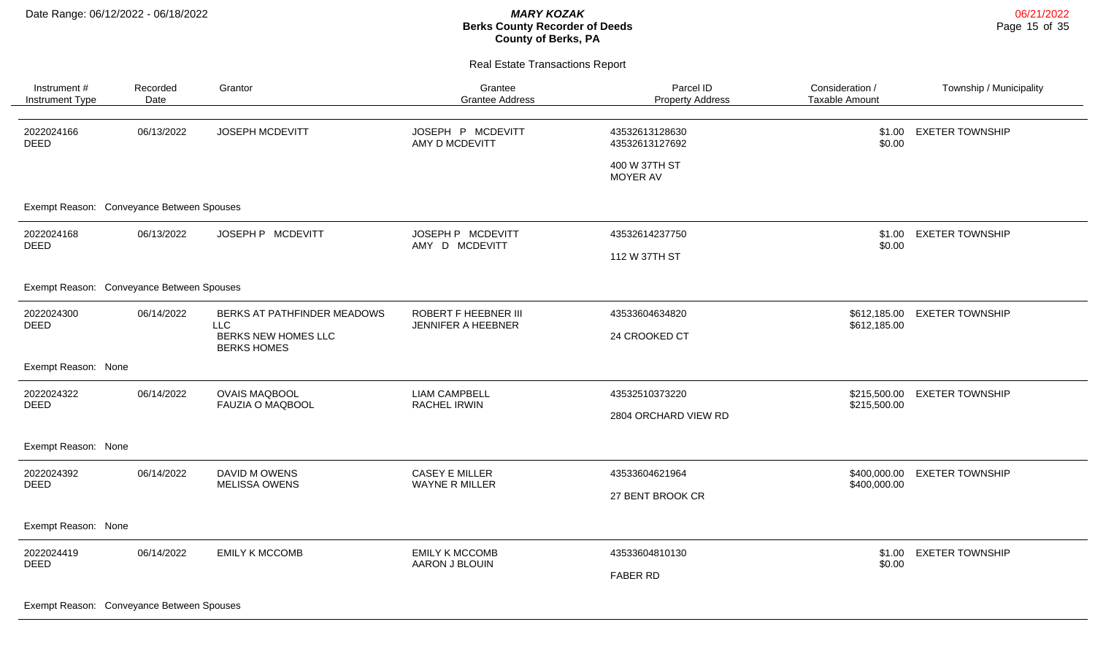Real Estate Transactions Report

| Instrument #<br>Instrument Type           | Recorded<br>Date | Grantor                                          | Grantee<br><b>Grantee Address</b>          | Parcel ID<br><b>Property Address</b> | Consideration /<br><b>Taxable Amount</b> | Township / Municipality |
|-------------------------------------------|------------------|--------------------------------------------------|--------------------------------------------|--------------------------------------|------------------------------------------|-------------------------|
| 2022024166<br><b>DEED</b>                 | 06/13/2022       | JOSEPH MCDEVITT                                  | JOSEPH P MCDEVITT<br>AMY D MCDEVITT        | 43532613128630<br>43532613127692     | \$1.00<br>\$0.00                         | <b>EXETER TOWNSHIP</b>  |
|                                           |                  |                                                  |                                            | 400 W 37TH ST<br>MOYER AV            |                                          |                         |
| Exempt Reason: Conveyance Between Spouses |                  |                                                  |                                            |                                      |                                          |                         |
| 2022024168<br><b>DEED</b>                 | 06/13/2022       | JOSEPH P MCDEVITT                                | JOSEPH P MCDEVITT<br>AMY D MCDEVITT        | 43532614237750                       | \$1.00<br>\$0.00                         | <b>EXETER TOWNSHIP</b>  |
|                                           |                  |                                                  |                                            | 112 W 37TH ST                        |                                          |                         |
| Exempt Reason: Conveyance Between Spouses |                  |                                                  |                                            |                                      |                                          |                         |
| 2022024300<br><b>DEED</b>                 | 06/14/2022       | BERKS AT PATHFINDER MEADOWS                      | ROBERT F HEEBNER III<br>JENNIFER A HEEBNER | 43533604634820                       | \$612,185.00<br>\$612,185.00             | <b>EXETER TOWNSHIP</b>  |
|                                           |                  | LLC<br>BERKS NEW HOMES LLC<br><b>BERKS HOMES</b> |                                            | 24 CROOKED CT                        |                                          |                         |
| Exempt Reason: None                       |                  |                                                  |                                            |                                      |                                          |                         |
| 2022024322<br><b>DEED</b>                 | 06/14/2022       | <b>OVAIS MAQBOOL</b><br><b>FAUZIA O MAQBOOL</b>  | <b>LIAM CAMPBELL</b><br>RACHEL IRWIN       | 43532510373220                       | \$215,500.00                             | <b>EXETER TOWNSHIP</b>  |
|                                           |                  |                                                  |                                            | 2804 ORCHARD VIEW RD                 | \$215,500.00                             |                         |
| Exempt Reason: None                       |                  |                                                  |                                            |                                      |                                          |                         |
| 2022024392<br><b>DEED</b>                 | 06/14/2022       | DAVID M OWENS<br><b>MELISSA OWENS</b>            | CASEY E MILLER                             | 43533604621964                       | \$400,000.00<br>\$400,000.00             | <b>EXETER TOWNSHIP</b>  |
|                                           |                  |                                                  | WAYNE R MILLER                             | 27 BENT BROOK CR                     |                                          |                         |
| Exempt Reason: None                       |                  |                                                  |                                            |                                      |                                          |                         |
| 2022024419                                | 06/14/2022       | <b>EMILY K MCCOMB</b>                            | <b>EMILY K MCCOMB</b><br>AARON J BLOUIN    | 43533604810130                       | \$1.00<br>\$0.00                         | <b>EXETER TOWNSHIP</b>  |
| <b>DEED</b>                               |                  |                                                  |                                            | <b>FABER RD</b>                      |                                          |                         |
|                                           |                  |                                                  |                                            |                                      |                                          |                         |

Exempt Reason: Conveyance Between Spouses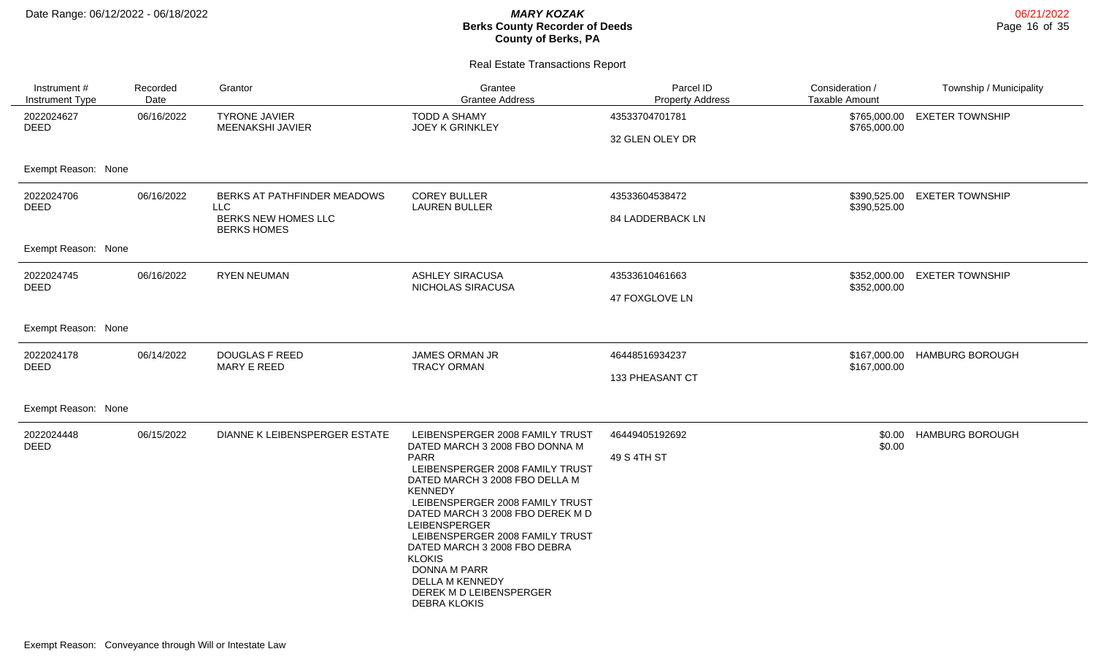| Instrument #<br>Instrument Type           | Recorded<br>Date | Grantor                                   | Grantee<br><b>Grantee Address</b>                                 | Parcel ID<br><b>Property Address</b> | Consideration /<br><b>Taxable Amount</b> | Township / Municipality |
|-------------------------------------------|------------------|-------------------------------------------|-------------------------------------------------------------------|--------------------------------------|------------------------------------------|-------------------------|
| 2022024627<br><b>DEED</b>                 | 06/16/2022       | <b>TYRONE JAVIER</b><br>MEENAKSHI JAVIER  | <b>TODD A SHAMY</b><br><b>JOEY K GRINKLEY</b>                     | 43533704701781                       | \$765,000.00<br>\$765,000.00             | <b>EXETER TOWNSHIP</b>  |
|                                           |                  |                                           |                                                                   | 32 GLEN OLEY DR                      |                                          |                         |
| Exempt Reason: None                       |                  |                                           |                                                                   |                                      |                                          |                         |
| 2022024706<br><b>DEED</b>                 | 06/16/2022       | BERKS AT PATHFINDER MEADOWS<br><b>LLC</b> | <b>COREY BULLER</b><br><b>LAUREN BULLER</b>                       | 43533604538472                       | \$390,525.00<br>\$390,525.00             | <b>EXETER TOWNSHIP</b>  |
| BERKS NEW HOMES LLC<br><b>BERKS HOMES</b> |                  | 84 LADDERBACK LN                          |                                                                   |                                      |                                          |                         |
| Exempt Reason: None                       |                  |                                           |                                                                   |                                      |                                          |                         |
| 2022024745<br><b>DEED</b>                 | 06/16/2022       | <b>RYEN NEUMAN</b>                        | <b>ASHLEY SIRACUSA</b><br>NICHOLAS SIRACUSA                       | 43533610461663                       | \$352,000.00<br>\$352,000.00             | <b>EXETER TOWNSHIP</b>  |
|                                           |                  |                                           |                                                                   | 47 FOXGLOVE LN                       |                                          |                         |
| Exempt Reason: None                       |                  |                                           |                                                                   |                                      |                                          |                         |
| 2022024178<br><b>DEED</b>                 | 06/14/2022       | <b>DOUGLAS F REED</b><br>MARY E REED      | JAMES ORMAN JR<br><b>TRACY ORMAN</b>                              | 46448516934237                       | \$167,000.00<br>\$167,000.00             | <b>HAMBURG BOROUGH</b>  |
|                                           |                  |                                           |                                                                   | 133 PHEASANT CT                      |                                          |                         |
| Exempt Reason: None                       |                  |                                           |                                                                   |                                      |                                          |                         |
| 2022024448<br><b>DEED</b>                 | 06/15/2022       | DIANNE K LEIBENSPERGER ESTATE             | LEIBENSPERGER 2008 FAMILY TRUST<br>DATED MARCH 3 2008 FBO DONNA M | 46449405192692                       | \$0.00<br>\$0.00                         | <b>HAMBURG BOROUGH</b>  |
|                                           |                  |                                           | <b>PARR</b><br>LEIBENSPERGER 2008 FAMILY TRUST                    | 49 S 4TH ST                          |                                          |                         |
|                                           |                  |                                           | DATED MARCH 3 2008 FBO DELLA M                                    |                                      |                                          |                         |
|                                           |                  |                                           | <b>KENNEDY</b><br>LEIBENSPERGER 2008 FAMILY TRUST                 |                                      |                                          |                         |
|                                           |                  |                                           | DATED MARCH 3 2008 FBO DEREK M D<br>LEIBENSPERGER                 |                                      |                                          |                         |
|                                           |                  |                                           | LEIBENSPERGER 2008 FAMILY TRUST<br>DATED MARCH 3 2008 FBO DEBRA   |                                      |                                          |                         |
|                                           |                  |                                           | <b>KLOKIS</b><br>DONNA M PARR                                     |                                      |                                          |                         |
|                                           |                  |                                           | DELLA M KENNEDY<br>DEREK M D LEIBENSPERGER                        |                                      |                                          |                         |
|                                           |                  |                                           | <b>DEBRA KLOKIS</b>                                               |                                      |                                          |                         |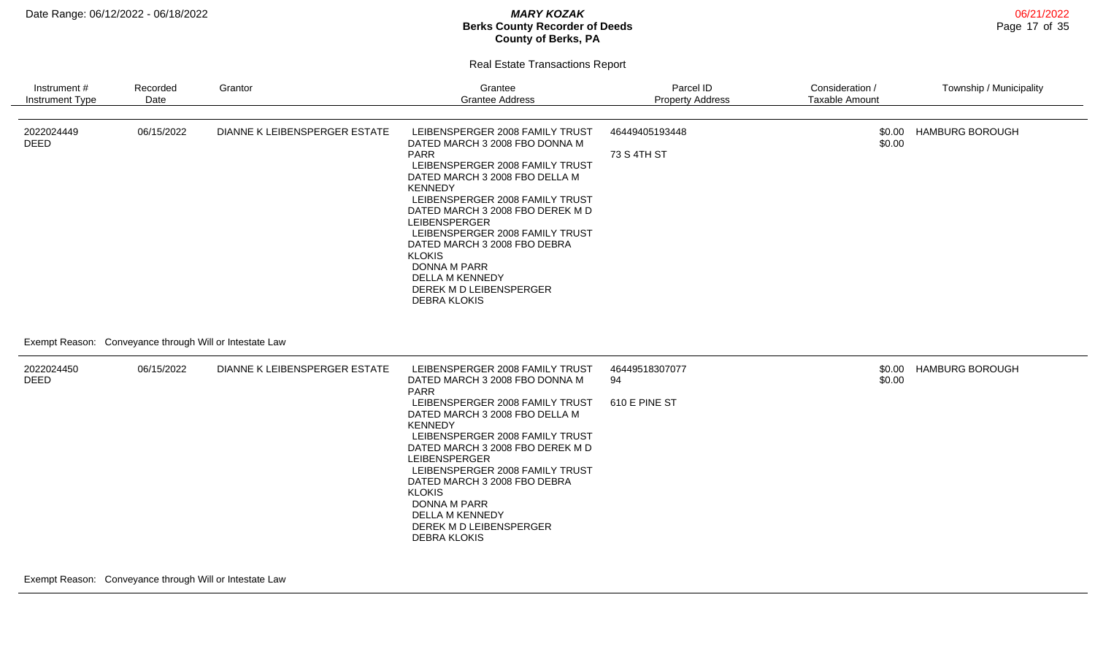Real Estate Transactions Report

| Instrument #<br>Instrument Type | Recorded<br>Date                         | Grantor                       | Grantee<br><b>Grantee Address</b>                                                                                                                                                                                                                                                                                                                                                                                                                      | Parcel ID<br><b>Property Address</b>  | Consideration /<br><b>Taxable Amount</b> | Township / Municipality |
|---------------------------------|------------------------------------------|-------------------------------|--------------------------------------------------------------------------------------------------------------------------------------------------------------------------------------------------------------------------------------------------------------------------------------------------------------------------------------------------------------------------------------------------------------------------------------------------------|---------------------------------------|------------------------------------------|-------------------------|
| 2022024449<br><b>DEED</b>       | 06/15/2022                               | DIANNE K LEIBENSPERGER ESTATE | LEIBENSPERGER 2008 FAMILY TRUST<br>DATED MARCH 3 2008 FBO DONNA M<br><b>PARR</b><br>LEIBENSPERGER 2008 FAMILY TRUST<br>DATED MARCH 3 2008 FBO DELLA M<br><b>KENNEDY</b><br>LEIBENSPERGER 2008 FAMILY TRUST<br>DATED MARCH 3 2008 FBO DEREK M D<br>LEIBENSPERGER<br>LEIBENSPERGER 2008 FAMILY TRUST<br>DATED MARCH 3 2008 FBO DEBRA<br><b>KLOKIS</b><br><b>DONNA M PARR</b><br><b>DELLA M KENNEDY</b><br>DEREK M D LEIBENSPERGER<br><b>DEBRA KLOKIS</b> | 46449405193448<br>73 S 4TH ST         | \$0.00<br>\$0.00                         | <b>HAMBURG BOROUGH</b>  |
| Exempt Reason:                  | Conveyance through Will or Intestate Law |                               |                                                                                                                                                                                                                                                                                                                                                                                                                                                        |                                       |                                          |                         |
| 2022024450<br><b>DEED</b>       | 06/15/2022                               | DIANNE K LEIBENSPERGER ESTATE | LEIBENSPERGER 2008 FAMILY TRUST<br>DATED MARCH 3 2008 FBO DONNA M<br><b>PARR</b><br>LEIBENSPERGER 2008 FAMILY TRUST<br>DATED MARCH 3 2008 FBO DELLA M<br><b>KENNEDY</b><br>LEIBENSPERGER 2008 FAMILY TRUST<br>DATED MARCH 3 2008 FBO DEREK M D<br><b>LEIBENSPERGER</b><br>LEIBENSPERGER 2008 FAMILY TRUST<br>DATED MARCH 3 2008 FBO DEBRA<br><b>KLOKIS</b><br>DONNA M PARR<br>DELLA M KENNEDY                                                          | 46449518307077<br>94<br>610 E PINE ST | \$0.00<br>\$0.00                         | <b>HAMBURG BOROUGH</b>  |

DEREK M D LEIBENSPERGER

DEBRA KLOKIS

Exempt Reason: Conveyance through Will or Intestate Law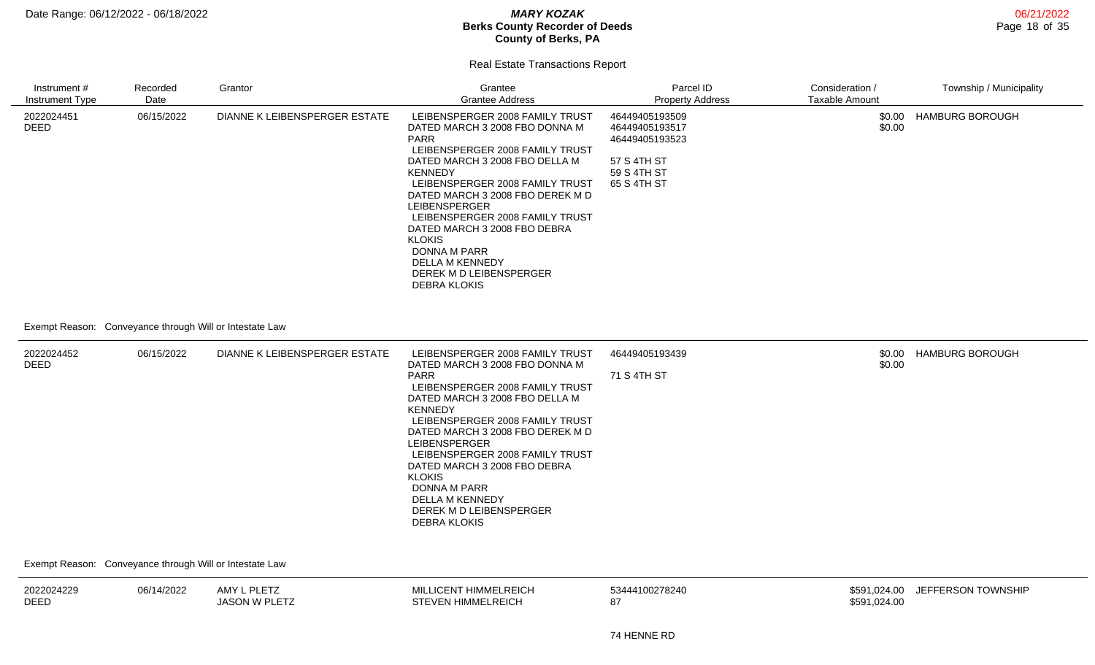06/21/2022 Page 18 of 35

#### Real Estate Transactions Report

| Instrument #<br><b>Instrument Type</b> | Recorded<br>Date                                                      | Grantor                       | Grantee<br><b>Grantee Address</b>                                                                                                                                                                                                                                                                                                                                                                                                               | Parcel ID<br><b>Property Address</b>                                                            | Consideration /<br><b>Taxable Amount</b> | Township / Municipality |
|----------------------------------------|-----------------------------------------------------------------------|-------------------------------|-------------------------------------------------------------------------------------------------------------------------------------------------------------------------------------------------------------------------------------------------------------------------------------------------------------------------------------------------------------------------------------------------------------------------------------------------|-------------------------------------------------------------------------------------------------|------------------------------------------|-------------------------|
| 2022024451<br><b>DEED</b>              | 06/15/2022<br>Exempt Reason: Conveyance through Will or Intestate Law | DIANNE K LEIBENSPERGER ESTATE | LEIBENSPERGER 2008 FAMILY TRUST<br>DATED MARCH 3 2008 FBO DONNA M<br><b>PARR</b><br>LEIBENSPERGER 2008 FAMILY TRUST<br>DATED MARCH 3 2008 FBO DELLA M<br><b>KENNEDY</b><br>LEIBENSPERGER 2008 FAMILY TRUST<br>DATED MARCH 3 2008 FBO DEREK M D<br>LEIBENSPERGER<br>LEIBENSPERGER 2008 FAMILY TRUST<br>DATED MARCH 3 2008 FBO DEBRA<br><b>KLOKIS</b><br>DONNA M PARR<br>DELLA M KENNEDY<br>DEREK M D LEIBENSPERGER<br><b>DEBRA KLOKIS</b>        | 46449405193509<br>46449405193517<br>46449405193523<br>57 S 4TH ST<br>59 S 4TH ST<br>65 S 4TH ST | \$0.00<br>\$0.00                         | <b>HAMBURG BOROUGH</b>  |
| 2022024452<br>DEED                     | 06/15/2022                                                            | DIANNE K LEIBENSPERGER ESTATE | LEIBENSPERGER 2008 FAMILY TRUST<br>DATED MARCH 3 2008 FBO DONNA M<br><b>PARR</b><br>LEIBENSPERGER 2008 FAMILY TRUST<br>DATED MARCH 3 2008 FBO DELLA M<br><b>KENNEDY</b><br>LEIBENSPERGER 2008 FAMILY TRUST<br>DATED MARCH 3 2008 FBO DEREK M D<br><b>LEIBENSPERGER</b><br>LEIBENSPERGER 2008 FAMILY TRUST<br>DATED MARCH 3 2008 FBO DEBRA<br><b>KLOKIS</b><br>DONNA M PARR<br>DELLA M KENNEDY<br>DEREK M D LEIBENSPERGER<br><b>DEBRA KLOKIS</b> | 46449405193439<br>71 S 4TH ST                                                                   | \$0.00<br>\$0.00                         | <b>HAMBURG BOROUGH</b>  |

Exempt Reason: Conveyance through Will or Intestate Law

| 2022024229  | J6/14/2022 | AMY L PLETZ   | <b>MILLICENT HIMMELREICH</b> | 53444100278240 | JEFFERSON TOWNSHII<br>\$591.024.00 |
|-------------|------------|---------------|------------------------------|----------------|------------------------------------|
| <b>DEED</b> |            | JASON W PLETT | <b>STEVEN HIMMELREICH</b>    |                | \$591,024.00                       |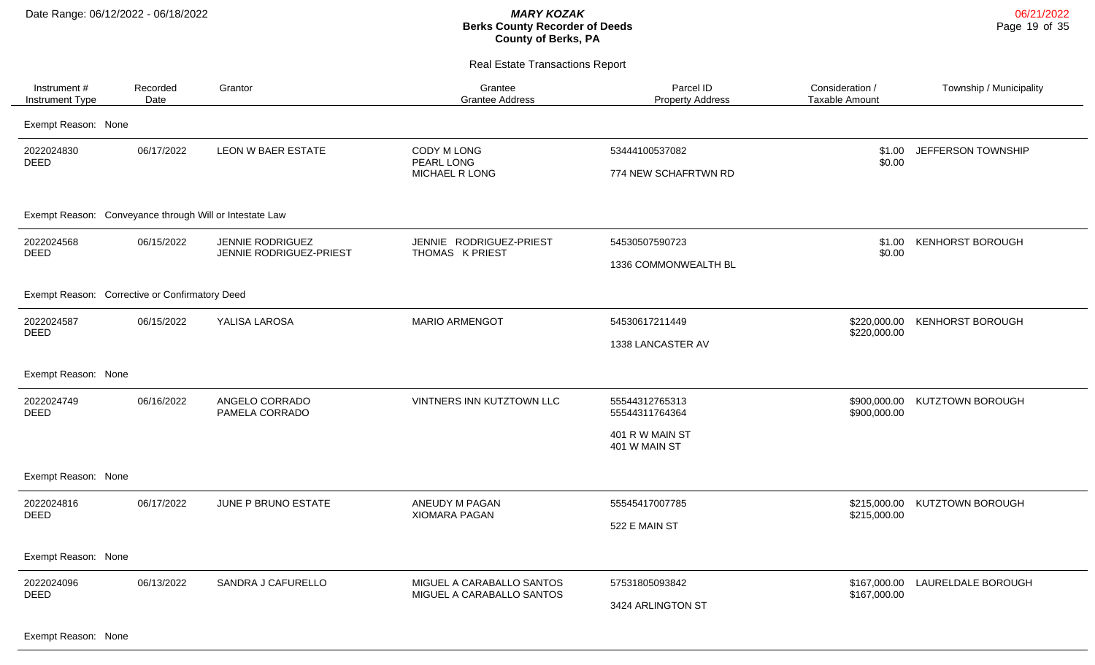Real Estate Transactions Report

| Instrument#<br>Instrument Type                          | Recorded<br>Date    | Grantor                                     | Grantee<br><b>Grantee Address</b>                      | Parcel ID<br><b>Property Address</b>   | Consideration /<br><b>Taxable Amount</b> | Township / Municipality       |  |  |  |
|---------------------------------------------------------|---------------------|---------------------------------------------|--------------------------------------------------------|----------------------------------------|------------------------------------------|-------------------------------|--|--|--|
|                                                         | Exempt Reason: None |                                             |                                                        |                                        |                                          |                               |  |  |  |
| 2022024830<br><b>DEED</b>                               | 06/17/2022          | <b>LEON W BAER ESTATE</b>                   | CODY M LONG<br>PEARL LONG<br>MICHAEL R LONG            | 53444100537082<br>774 NEW SCHAFRTWN RD | \$1.00<br>\$0.00                         | JEFFERSON TOWNSHIP            |  |  |  |
| Exempt Reason: Conveyance through Will or Intestate Law |                     |                                             |                                                        |                                        |                                          |                               |  |  |  |
| 2022024568<br><b>DEED</b>                               | 06/15/2022          | JENNIE RODRIGUEZ<br>JENNIE RODRIGUEZ-PRIEST | JENNIE RODRIGUEZ-PRIEST<br>THOMAS K PRIEST             | 54530507590723<br>1336 COMMONWEALTH BL | \$1.00<br>\$0.00                         | <b>KENHORST BOROUGH</b>       |  |  |  |
| Exempt Reason: Corrective or Confirmatory Deed          |                     |                                             |                                                        |                                        |                                          |                               |  |  |  |
| 2022024587<br><b>DEED</b>                               | 06/15/2022          | YALISA LAROSA                               | <b>MARIO ARMENGOT</b>                                  | 54530617211449<br>1338 LANCASTER AV    | \$220,000.00                             | \$220,000.00 KENHORST BOROUGH |  |  |  |
| Exempt Reason: None                                     |                     |                                             |                                                        |                                        |                                          |                               |  |  |  |
| 2022024749<br><b>DEED</b>                               | 06/16/2022          | ANGELO CORRADO<br>PAMELA CORRADO            | VINTNERS INN KUTZTOWN LLC                              | 55544312765313<br>55544311764364       | \$900,000.00                             | \$900,000.00 KUTZTOWN BOROUGH |  |  |  |
|                                                         |                     |                                             |                                                        | 401 R W MAIN ST<br>401 W MAIN ST       |                                          |                               |  |  |  |
| Exempt Reason: None                                     |                     |                                             |                                                        |                                        |                                          |                               |  |  |  |
| 2022024816<br><b>DEED</b>                               | 06/17/2022          | JUNE P BRUNO ESTATE                         | ANEUDY M PAGAN<br><b>XIOMARA PAGAN</b>                 | 55545417007785                         | \$215,000.00                             | \$215,000.00 KUTZTOWN BOROUGH |  |  |  |
|                                                         |                     |                                             |                                                        | 522 E MAIN ST                          |                                          |                               |  |  |  |
| Exempt Reason: None                                     |                     |                                             |                                                        |                                        |                                          |                               |  |  |  |
| 2022024096<br><b>DEED</b>                               | 06/13/2022          | SANDRA J CAFURELLO                          | MIGUEL A CARABALLO SANTOS<br>MIGUEL A CARABALLO SANTOS | 57531805093842                         | \$167,000.00<br>\$167,000.00             | LAURELDALE BOROUGH            |  |  |  |
|                                                         |                     |                                             |                                                        | 3424 ARLINGTON ST                      |                                          |                               |  |  |  |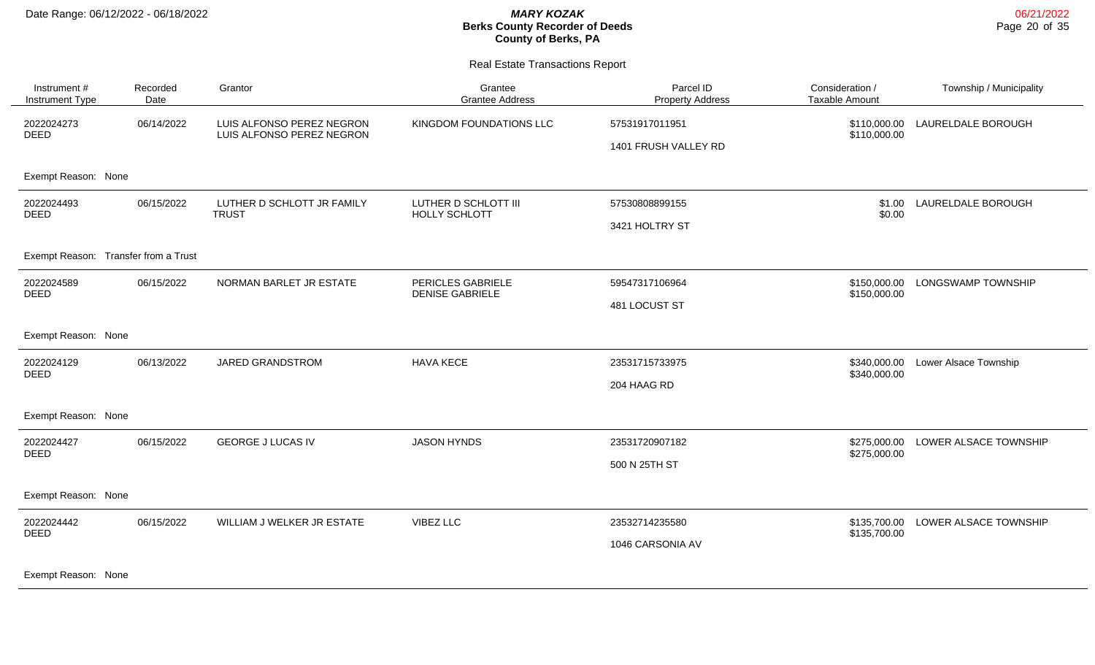Real Estate Transactions Report

| Instrument #<br>Instrument Type | Recorded<br>Date                     | Grantor                                                | Grantee<br><b>Grantee Address</b>           | Parcel ID<br><b>Property Address</b>   | Consideration /<br><b>Taxable Amount</b> | Township / Municipality |
|---------------------------------|--------------------------------------|--------------------------------------------------------|---------------------------------------------|----------------------------------------|------------------------------------------|-------------------------|
| 2022024273<br><b>DEED</b>       | 06/14/2022                           | LUIS ALFONSO PEREZ NEGRON<br>LUIS ALFONSO PEREZ NEGRON | KINGDOM FOUNDATIONS LLC                     | 57531917011951<br>1401 FRUSH VALLEY RD | \$110,000.00<br>\$110,000.00             | LAURELDALE BOROUGH      |
| Exempt Reason: None             |                                      |                                                        |                                             |                                        |                                          |                         |
| 2022024493<br><b>DEED</b>       | 06/15/2022                           | LUTHER D SCHLOTT JR FAMILY<br><b>TRUST</b>             | LUTHER D SCHLOTT III<br>HOLLY SCHLOTT       | 57530808899155                         | \$1.00<br>\$0.00                         | LAURELDALE BOROUGH      |
|                                 |                                      |                                                        |                                             | 3421 HOLTRY ST                         |                                          |                         |
|                                 | Exempt Reason: Transfer from a Trust |                                                        |                                             |                                        |                                          |                         |
| 2022024589<br><b>DEED</b>       | 06/15/2022                           | NORMAN BARLET JR ESTATE                                | PERICLES GABRIELE<br><b>DENISE GABRIELE</b> | 59547317106964                         | \$150,000.00<br>\$150,000.00             | LONGSWAMP TOWNSHIP      |
|                                 |                                      |                                                        |                                             | 481 LOCUST ST                          |                                          |                         |
| Exempt Reason: None             |                                      |                                                        |                                             |                                        |                                          |                         |
| 2022024129<br><b>DEED</b>       | 06/13/2022                           | JARED GRANDSTROM                                       | <b>HAVA KECE</b>                            | 23531715733975                         | \$340,000.00<br>\$340,000.00             | Lower Alsace Township   |
|                                 |                                      |                                                        |                                             | 204 HAAG RD                            |                                          |                         |
| Exempt Reason: None             |                                      |                                                        |                                             |                                        |                                          |                         |
| 2022024427<br><b>DEED</b>       | 06/15/2022                           | <b>GEORGE J LUCAS IV</b>                               | <b>JASON HYNDS</b>                          | 23531720907182                         | \$275,000.00<br>\$275,000.00             | LOWER ALSACE TOWNSHIP   |
|                                 |                                      |                                                        |                                             | 500 N 25TH ST                          |                                          |                         |
| Exempt Reason: None             |                                      |                                                        |                                             |                                        |                                          |                         |
| 2022024442<br><b>DEED</b>       | 06/15/2022                           | WILLIAM J WELKER JR ESTATE                             | VIBEZ LLC                                   | 23532714235580                         | \$135,700.00<br>\$135,700.00             | LOWER ALSACE TOWNSHIP   |
|                                 |                                      |                                                        |                                             | 1046 CARSONIA AV                       |                                          |                         |
|                                 |                                      |                                                        |                                             |                                        |                                          |                         |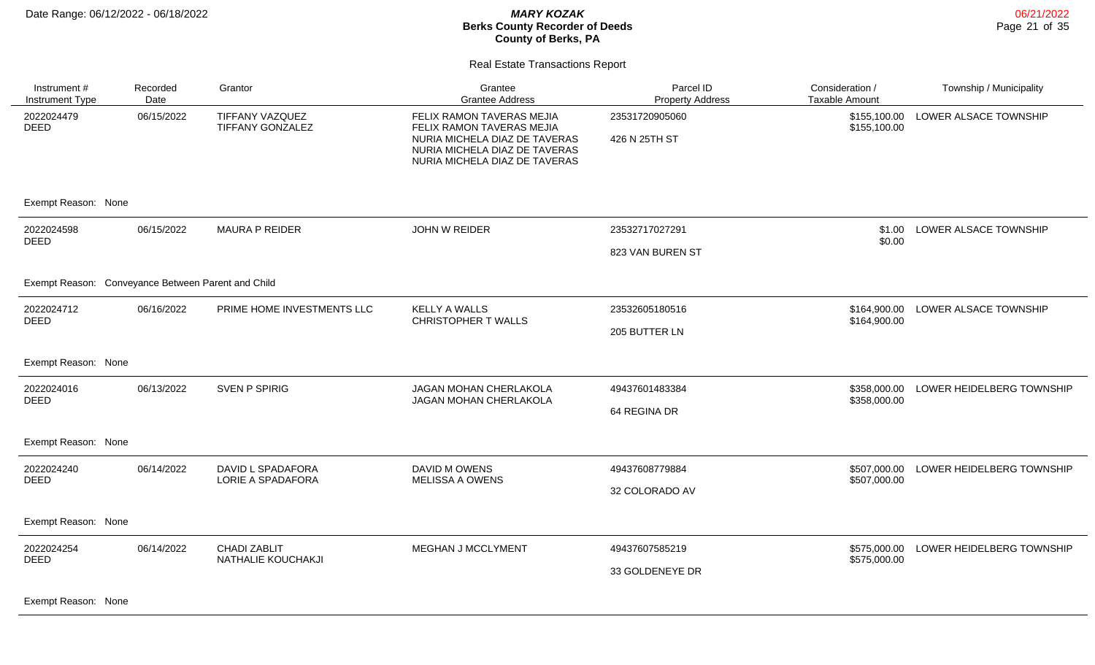Real Estate Transactions Report

| Instrument #<br>Instrument Type                    | Recorded<br>Date | Grantor                                   | Grantee<br><b>Grantee Address</b>                                                                                                                         | Parcel ID<br><b>Property Address</b> | Consideration /<br><b>Taxable Amount</b> | Township / Municipality   |
|----------------------------------------------------|------------------|-------------------------------------------|-----------------------------------------------------------------------------------------------------------------------------------------------------------|--------------------------------------|------------------------------------------|---------------------------|
| 2022024479<br><b>DEED</b>                          | 06/15/2022       | TIFFANY VAZQUEZ<br>TIFFANY GONZALEZ       | FELIX RAMON TAVERAS MEJIA<br>FELIX RAMON TAVERAS MEJIA<br>NURIA MICHELA DIAZ DE TAVERAS<br>NURIA MICHELA DIAZ DE TAVERAS<br>NURIA MICHELA DIAZ DE TAVERAS | 23531720905060<br>426 N 25TH ST      | \$155,100.00<br>\$155,100.00             | LOWER ALSACE TOWNSHIP     |
| Exempt Reason: None                                |                  |                                           |                                                                                                                                                           |                                      |                                          |                           |
| 2022024598<br><b>DEED</b>                          | 06/15/2022       | <b>MAURA P REIDER</b>                     | JOHN W REIDER                                                                                                                                             | 23532717027291                       | \$1.00<br>\$0.00                         | LOWER ALSACE TOWNSHIP     |
|                                                    |                  |                                           |                                                                                                                                                           | 823 VAN BUREN ST                     |                                          |                           |
| Exempt Reason: Conveyance Between Parent and Child |                  |                                           |                                                                                                                                                           |                                      |                                          |                           |
| 2022024712<br><b>DEED</b>                          | 06/16/2022       | PRIME HOME INVESTMENTS LLC                | <b>KELLY A WALLS</b><br><b>CHRISTOPHER T WALLS</b>                                                                                                        | 23532605180516                       | \$164,900.00<br>\$164,900.00             | LOWER ALSACE TOWNSHIP     |
|                                                    |                  |                                           |                                                                                                                                                           | 205 BUTTER LN                        |                                          |                           |
| Exempt Reason: None                                |                  |                                           |                                                                                                                                                           |                                      |                                          |                           |
| 2022024016<br><b>DEED</b>                          | 06/13/2022       | <b>SVEN P SPIRIG</b>                      | JAGAN MOHAN CHERLAKOLA<br>JAGAN MOHAN CHERLAKOLA                                                                                                          | 49437601483384                       | \$358,000.00<br>\$358,000.00             | LOWER HEIDELBERG TOWNSHIP |
|                                                    |                  |                                           |                                                                                                                                                           | 64 REGINA DR                         |                                          |                           |
| Exempt Reason: None                                |                  |                                           |                                                                                                                                                           |                                      |                                          |                           |
| 2022024240<br><b>DEED</b>                          | 06/14/2022       | DAVID L SPADAFORA<br>LORIE A SPADAFORA    | DAVID M OWENS<br><b>MELISSA A OWENS</b>                                                                                                                   | 49437608779884                       | \$507,000.00<br>\$507,000.00             | LOWER HEIDELBERG TOWNSHIP |
|                                                    |                  |                                           |                                                                                                                                                           | 32 COLORADO AV                       |                                          |                           |
| Exempt Reason: None                                |                  |                                           |                                                                                                                                                           |                                      |                                          |                           |
| 2022024254<br><b>DEED</b>                          | 06/14/2022       | <b>CHADI ZABLIT</b><br>NATHALIE KOUCHAKJI | MEGHAN J MCCLYMENT                                                                                                                                        | 49437607585219                       | \$575,000.00<br>\$575,000.00             | LOWER HEIDELBERG TOWNSHIP |
|                                                    |                  |                                           |                                                                                                                                                           | 33 GOLDENEYE DR                      |                                          |                           |
|                                                    |                  |                                           |                                                                                                                                                           |                                      |                                          |                           |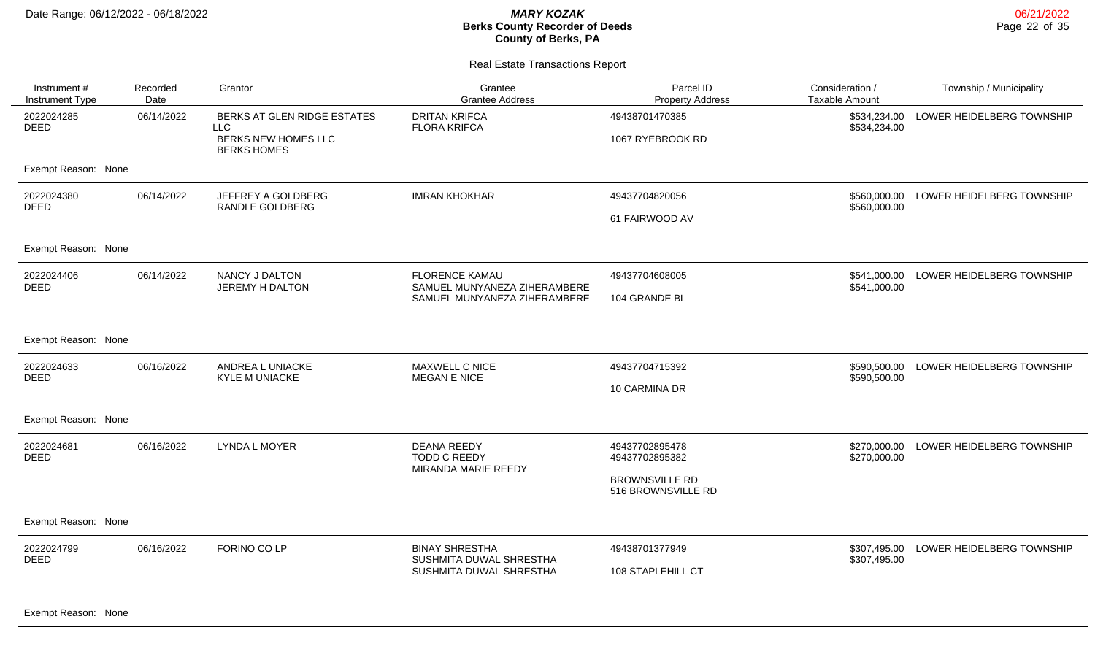### Real Estate Transactions Report

| Instrument #<br><b>Instrument Type</b> | Recorded<br>Date | Grantor                                                                                | Grantee<br><b>Grantee Address</b>                                | Parcel ID<br><b>Property Address</b>        | Consideration /<br><b>Taxable Amount</b> | Township / Municipality   |
|----------------------------------------|------------------|----------------------------------------------------------------------------------------|------------------------------------------------------------------|---------------------------------------------|------------------------------------------|---------------------------|
| 2022024285<br><b>DEED</b>              | 06/14/2022       | BERKS AT GLEN RIDGE ESTATES<br><b>LLC</b><br>BERKS NEW HOMES LLC<br><b>BERKS HOMES</b> | <b>DRITAN KRIFCA</b><br><b>FLORA KRIFCA</b>                      | 49438701470385<br>1067 RYEBROOK RD          | \$534,234.00<br>\$534,234.00             | LOWER HEIDELBERG TOWNSHIP |
| Exempt Reason: None                    |                  |                                                                                        |                                                                  |                                             |                                          |                           |
| 2022024380<br><b>DEED</b>              | 06/14/2022       | JEFFREY A GOLDBERG<br>RANDI E GOLDBERG                                                 | <b>IMRAN KHOKHAR</b>                                             | 49437704820056                              | \$560,000.00<br>\$560,000.00             | LOWER HEIDELBERG TOWNSHIP |
|                                        |                  |                                                                                        |                                                                  | 61 FAIRWOOD AV                              |                                          |                           |
| Exempt Reason: None                    |                  |                                                                                        |                                                                  |                                             |                                          |                           |
| 2022024406<br><b>DEED</b>              | 06/14/2022       | NANCY J DALTON<br>JEREMY H DALTON                                                      | <b>FLORENCE KAMAU</b><br>SAMUEL MUNYANEZA ZIHERAMBERE            | 49437704608005                              | \$541,000.00<br>\$541,000.00             | LOWER HEIDELBERG TOWNSHIP |
|                                        |                  |                                                                                        | SAMUEL MUNYANEZA ZIHERAMBERE                                     | 104 GRANDE BL                               |                                          |                           |
| Exempt Reason: None                    |                  |                                                                                        |                                                                  |                                             |                                          |                           |
| 2022024633<br><b>DEED</b>              | 06/16/2022       | ANDREA L UNIACKE<br><b>KYLE M UNIACKE</b>                                              | MAXWELL C NICE<br><b>MEGAN E NICE</b>                            | 49437704715392                              | \$590,500.00<br>\$590,500.00             | LOWER HEIDELBERG TOWNSHIP |
|                                        |                  |                                                                                        |                                                                  | 10 CARMINA DR                               |                                          |                           |
| Exempt Reason: None                    |                  |                                                                                        |                                                                  |                                             |                                          |                           |
| 2022024681<br><b>DEED</b>              | 06/16/2022       | <b>LYNDA L MOYER</b>                                                                   | <b>DEANA REEDY</b><br><b>TODD C REEDY</b><br>MIRANDA MARIE REEDY | 49437702895478<br>49437702895382            | \$270,000.00<br>\$270,000.00             | LOWER HEIDELBERG TOWNSHIP |
|                                        |                  |                                                                                        |                                                                  | <b>BROWNSVILLE RD</b><br>516 BROWNSVILLE RD |                                          |                           |
| Exempt Reason: None                    |                  |                                                                                        |                                                                  |                                             |                                          |                           |
| 2022024799<br><b>DEED</b>              | 06/16/2022       | FORINO CO LP                                                                           | <b>BINAY SHRESTHA</b><br>SUSHMITA DUWAL SHRESTHA                 | 49438701377949                              | \$307,495.00<br>\$307,495.00             | LOWER HEIDELBERG TOWNSHIP |
|                                        |                  |                                                                                        | SUSHMITA DUWAL SHRESTHA                                          | 108 STAPLEHILL CT                           |                                          |                           |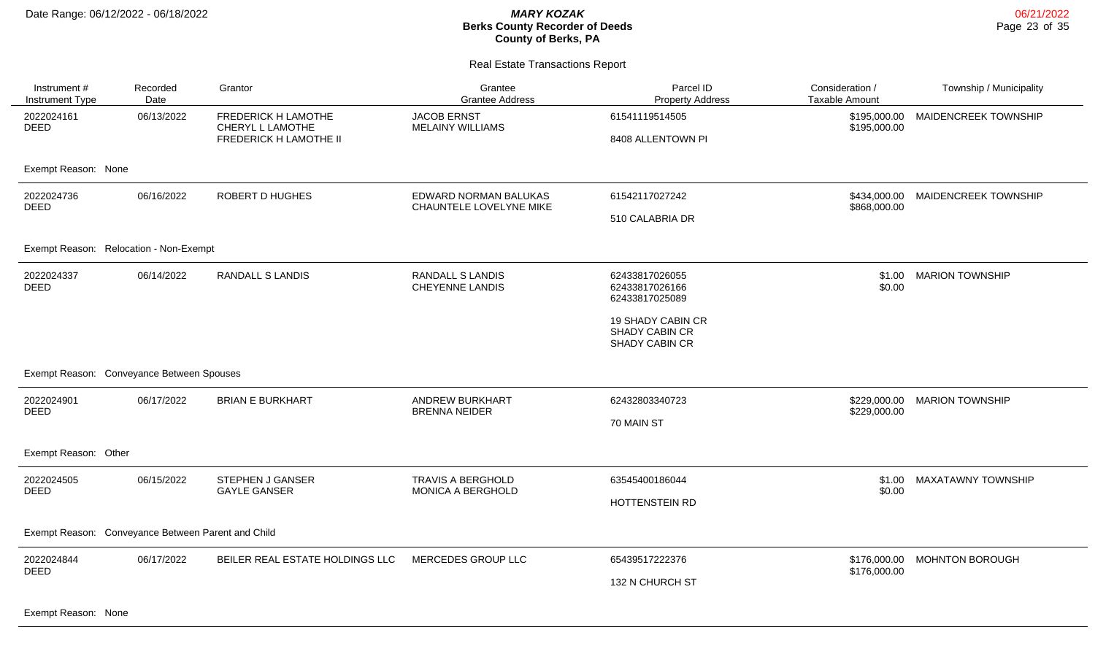Real Estate Transactions Report

| Instrument #<br>Instrument Type           | Recorded<br>Date                                   | Grantor                                                                         | Grantee<br><b>Grantee Address</b>                 | Parcel ID<br><b>Property Address</b>                  | Consideration /<br><b>Taxable Amount</b> | Township / Municipality      |  |  |
|-------------------------------------------|----------------------------------------------------|---------------------------------------------------------------------------------|---------------------------------------------------|-------------------------------------------------------|------------------------------------------|------------------------------|--|--|
| 2022024161<br><b>DEED</b>                 | 06/13/2022                                         | <b>FREDERICK H LAMOTHE</b><br>CHERYL L LAMOTHE<br><b>FREDERICK H LAMOTHE II</b> | <b>JACOB ERNST</b><br><b>MELAINY WILLIAMS</b>     | 61541119514505<br>8408 ALLENTOWN PI                   | \$195,000.00<br>\$195,000.00             | MAIDENCREEK TOWNSHIP         |  |  |
| Exempt Reason: None                       |                                                    |                                                                                 |                                                   |                                                       |                                          |                              |  |  |
| 2022024736<br><b>DEED</b>                 | 06/16/2022                                         | <b>ROBERT D HUGHES</b>                                                          | EDWARD NORMAN BALUKAS<br>CHAUNTELE LOVELYNE MIKE  | 61542117027242<br>510 CALABRIA DR                     | \$434,000.00<br>\$868,000.00             | MAIDENCREEK TOWNSHIP         |  |  |
| Exempt Reason: Relocation - Non-Exempt    |                                                    |                                                                                 |                                                   |                                                       |                                          |                              |  |  |
| 2022024337<br><b>DEED</b>                 | 06/14/2022                                         | <b>RANDALL S LANDIS</b>                                                         | <b>RANDALL S LANDIS</b><br><b>CHEYENNE LANDIS</b> | 62433817026055<br>62433817026166<br>62433817025089    | \$1.00<br>\$0.00                         | <b>MARION TOWNSHIP</b>       |  |  |
|                                           |                                                    |                                                                                 |                                                   | 19 SHADY CABIN CR<br>SHADY CABIN CR<br>SHADY CABIN CR |                                          |                              |  |  |
| Exempt Reason: Conveyance Between Spouses |                                                    |                                                                                 |                                                   |                                                       |                                          |                              |  |  |
| 2022024901<br><b>DEED</b>                 | 06/17/2022                                         | <b>BRIAN E BURKHART</b>                                                         | <b>ANDREW BURKHART</b><br><b>BRENNA NEIDER</b>    | 62432803340723<br>70 MAIN ST                          | \$229,000.00<br>\$229,000.00             | <b>MARION TOWNSHIP</b>       |  |  |
| Exempt Reason: Other                      |                                                    |                                                                                 |                                                   |                                                       |                                          |                              |  |  |
| 2022024505<br><b>DEED</b>                 | 06/15/2022                                         | <b>STEPHEN J GANSER</b><br><b>GAYLE GANSER</b>                                  | <b>TRAVIS A BERGHOLD</b><br>MONICA A BERGHOLD     | 63545400186044<br>HOTTENSTEIN RD                      | \$1.00<br>\$0.00                         | <b>MAXATAWNY TOWNSHIP</b>    |  |  |
|                                           | Exempt Reason: Conveyance Between Parent and Child |                                                                                 |                                                   |                                                       |                                          |                              |  |  |
| 2022024844<br><b>DEED</b>                 | 06/17/2022                                         | BEILER REAL ESTATE HOLDINGS LLC                                                 | MERCEDES GROUP LLC                                | 65439517222376<br>132 N CHURCH ST                     | \$176,000.00                             | \$176,000.00 MOHNTON BOROUGH |  |  |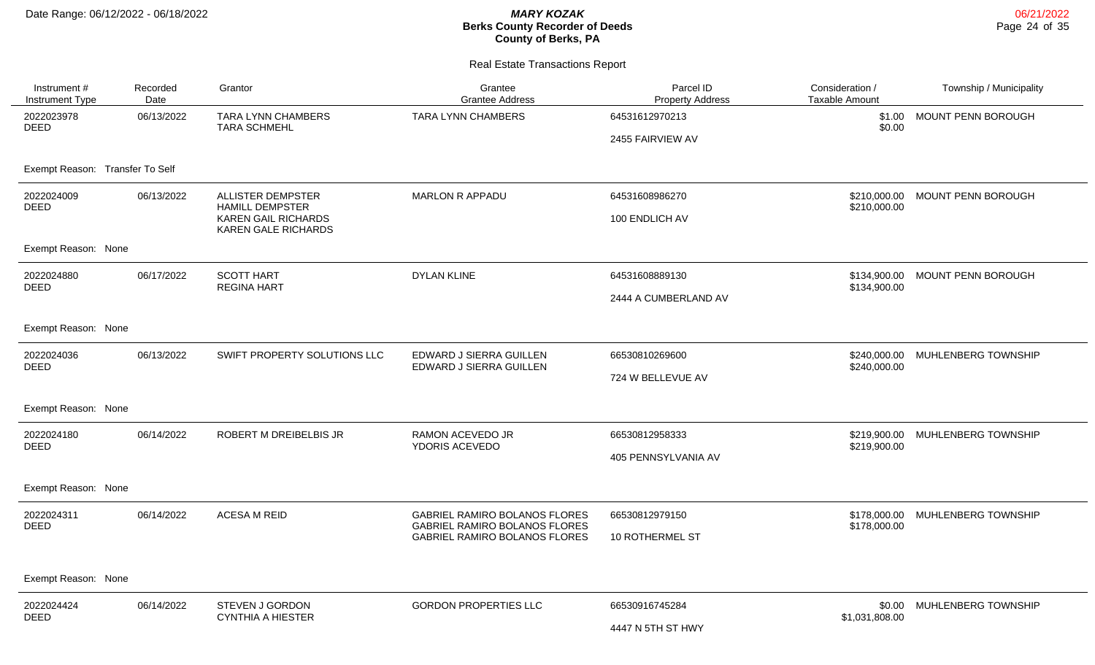| Instrument #<br><b>Instrument Type</b> | Recorded<br>Date | Grantor                                                  | Grantee<br><b>Grantee Address</b>                                     | Parcel ID<br><b>Property Address</b> | Consideration /<br><b>Taxable Amount</b> | Township / Municipality         |
|----------------------------------------|------------------|----------------------------------------------------------|-----------------------------------------------------------------------|--------------------------------------|------------------------------------------|---------------------------------|
| 2022023978<br><b>DEED</b>              | 06/13/2022       | TARA LYNN CHAMBERS<br><b>TARA SCHMEHL</b>                | <b>TARA LYNN CHAMBERS</b>                                             | 64531612970213                       | \$1.00<br>\$0.00                         | MOUNT PENN BOROUGH              |
|                                        |                  |                                                          |                                                                       | 2455 FAIRVIEW AV                     |                                          |                                 |
| Exempt Reason: Transfer To Self        |                  |                                                          |                                                                       |                                      |                                          |                                 |
| 2022024009<br><b>DEED</b>              | 06/13/2022       | <b>ALLISTER DEMPSTER</b><br><b>HAMILL DEMPSTER</b>       | <b>MARLON R APPADU</b>                                                | 64531608986270                       | \$210,000.00                             | \$210,000.00 MOUNT PENN BOROUGH |
|                                        |                  | <b>KAREN GAIL RICHARDS</b><br><b>KAREN GALE RICHARDS</b> |                                                                       | 100 ENDLICH AV                       |                                          |                                 |
| Exempt Reason: None                    |                  |                                                          |                                                                       |                                      |                                          |                                 |
| 2022024880<br><b>DEED</b>              | 06/17/2022       | <b>SCOTT HART</b><br><b>REGINA HART</b>                  | <b>DYLAN KLINE</b>                                                    | 64531608889130                       | \$134,900.00<br>\$134,900.00             | MOUNT PENN BOROUGH              |
|                                        |                  |                                                          |                                                                       | 2444 A CUMBERLAND AV                 |                                          |                                 |
| Exempt Reason: None                    |                  |                                                          |                                                                       |                                      |                                          |                                 |
| 2022024036<br><b>DEED</b>              | 06/13/2022       | SWIFT PROPERTY SOLUTIONS LLC                             | EDWARD J SIERRA GUILLEN<br>EDWARD J SIERRA GUILLEN                    | 66530810269600                       | \$240,000,00<br>\$240,000.00             | MUHLENBERG TOWNSHIP             |
|                                        |                  |                                                          |                                                                       | 724 W BELLEVUE AV                    |                                          |                                 |
| Exempt Reason: None                    |                  |                                                          |                                                                       |                                      |                                          |                                 |
| 2022024180<br><b>DEED</b>              | 06/14/2022       | ROBERT M DREIBELBIS JR                                   | <b>RAMON ACEVEDO JR</b><br>YDORIS ACEVEDO                             | 66530812958333                       | \$219,900.00<br>\$219,900.00             | MUHLENBERG TOWNSHIP             |
|                                        |                  |                                                          |                                                                       | 405 PENNSYLVANIA AV                  |                                          |                                 |
| Exempt Reason: None                    |                  |                                                          |                                                                       |                                      |                                          |                                 |
| 2022024311<br><b>DEED</b>              | 06/14/2022       | <b>ACESA M REID</b>                                      | GABRIEL RAMIRO BOLANOS FLORES<br><b>GABRIEL RAMIRO BOLANOS FLORES</b> | 66530812979150                       | \$178,000.00<br>\$178,000.00             | MUHLENBERG TOWNSHIP             |
|                                        |                  |                                                          | GABRIEL RAMIRO BOLANOS FLORES                                         | 10 ROTHERMEL ST                      |                                          |                                 |
|                                        |                  |                                                          |                                                                       |                                      |                                          |                                 |
| Exempt Reason: None                    |                  |                                                          |                                                                       |                                      |                                          |                                 |
| 2022024424<br><b>DEED</b>              | 06/14/2022       | <b>STEVEN J GORDON</b><br><b>CYNTHIA A HIESTER</b>       | <b>GORDON PROPERTIES LLC</b>                                          | 66530916745284                       | \$0.00<br>\$1,031,808.00                 | MUHLENBERG TOWNSHIP             |
|                                        |                  |                                                          |                                                                       | 4447 N 5TH ST HWY                    |                                          |                                 |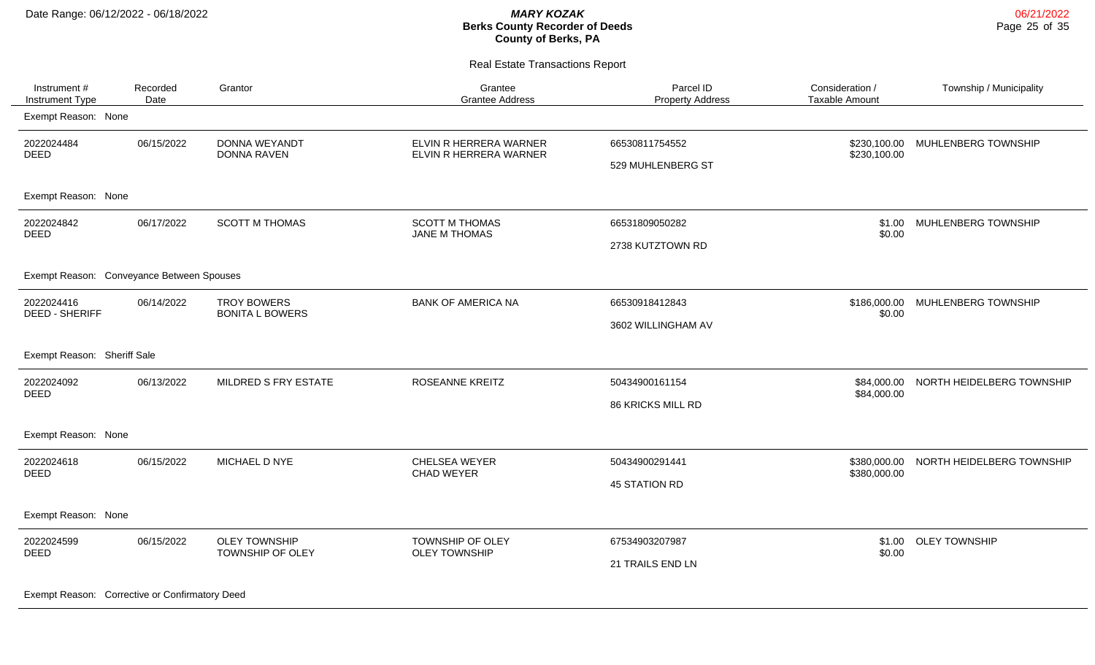Real Estate Transactions Report

| Instrument #<br>Instrument Type           | Recorded<br>Date | Grantor                                      | Grantee<br><b>Grantee Address</b>                | Parcel ID<br><b>Property Address</b>       | Consideration /<br>Taxable Amount | Township / Municipality   |
|-------------------------------------------|------------------|----------------------------------------------|--------------------------------------------------|--------------------------------------------|-----------------------------------|---------------------------|
| Exempt Reason: None                       |                  |                                              |                                                  |                                            |                                   |                           |
| 2022024484<br><b>DEED</b>                 | 06/15/2022       | DONNA WEYANDT<br><b>DONNA RAVEN</b>          | ELVIN R HERRERA WARNER<br>ELVIN R HERRERA WARNER | 66530811754552<br>529 MUHLENBERG ST        | \$230,100.00<br>\$230,100.00      | MUHLENBERG TOWNSHIP       |
| Exempt Reason: None                       |                  |                                              |                                                  |                                            |                                   |                           |
| 2022024842<br><b>DEED</b>                 | 06/17/2022       | <b>SCOTT M THOMAS</b>                        | <b>SCOTT M THOMAS</b><br>JANE M THOMAS           | 66531809050282<br>2738 KUTZTOWN RD         | \$1.00<br>\$0.00                  | MUHLENBERG TOWNSHIP       |
| Exempt Reason: Conveyance Between Spouses |                  |                                              |                                                  |                                            |                                   |                           |
| 2022024416<br><b>DEED - SHERIFF</b>       | 06/14/2022       | <b>TROY BOWERS</b><br><b>BONITA L BOWERS</b> | <b>BANK OF AMERICA NA</b>                        | 66530918412843<br>3602 WILLINGHAM AV       | \$186,000.00<br>\$0.00            | MUHLENBERG TOWNSHIP       |
| Exempt Reason: Sheriff Sale               |                  |                                              |                                                  |                                            |                                   |                           |
| 2022024092<br><b>DEED</b>                 | 06/13/2022       | MILDRED S FRY ESTATE                         | <b>ROSEANNE KREITZ</b>                           | 50434900161154<br><b>86 KRICKS MILL RD</b> | \$84,000.00<br>\$84,000.00        | NORTH HEIDELBERG TOWNSHIP |
| Exempt Reason: None                       |                  |                                              |                                                  |                                            |                                   |                           |
| 2022024618<br>DEED                        | 06/15/2022       | MICHAEL D NYE                                | CHELSEA WEYER<br><b>CHAD WEYER</b>               | 50434900291441<br>45 STATION RD            | \$380,000.00<br>\$380,000.00      | NORTH HEIDELBERG TOWNSHIP |
| Exempt Reason: None                       |                  |                                              |                                                  |                                            |                                   |                           |
| 2022024599<br><b>DEED</b>                 | 06/15/2022       | <b>OLEY TOWNSHIP</b><br>TOWNSHIP OF OLEY     | TOWNSHIP OF OLEY<br><b>OLEY TOWNSHIP</b>         | 67534903207987<br>21 TRAILS END LN         | \$1.00<br>\$0.00                  | <b>OLEY TOWNSHIP</b>      |

Exempt Reason: Corrective or Confirmatory Deed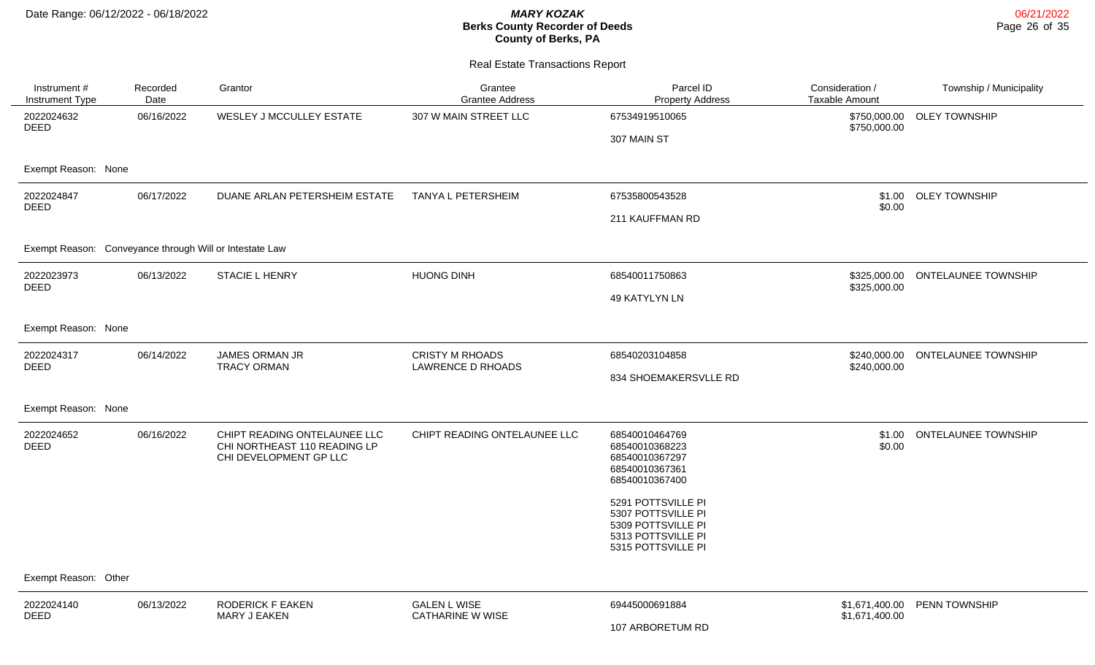| Instrument #<br>Instrument Type                         | Recorded<br>Date | Grantor                                                                                | Grantee<br><b>Grantee Address</b>                  | Parcel ID<br><b>Property Address</b>                                                                       | Consideration /<br><b>Taxable Amount</b> | Township / Municipality    |
|---------------------------------------------------------|------------------|----------------------------------------------------------------------------------------|----------------------------------------------------|------------------------------------------------------------------------------------------------------------|------------------------------------------|----------------------------|
| 2022024632<br><b>DEED</b>                               | 06/16/2022       | WESLEY J MCCULLEY ESTATE                                                               | 307 W MAIN STREET LLC                              | 67534919510065                                                                                             | \$750,000.00<br>\$750,000.00             | <b>OLEY TOWNSHIP</b>       |
|                                                         |                  |                                                                                        |                                                    | 307 MAIN ST                                                                                                |                                          |                            |
| Exempt Reason: None                                     |                  |                                                                                        |                                                    |                                                                                                            |                                          |                            |
| 2022024847<br><b>DEED</b>                               | 06/17/2022       | DUANE ARLAN PETERSHEIM ESTATE                                                          | <b>TANYA L PETERSHEIM</b>                          | 67535800543528                                                                                             | \$1.00<br>\$0.00                         | <b>OLEY TOWNSHIP</b>       |
|                                                         |                  |                                                                                        |                                                    | 211 KAUFFMAN RD                                                                                            |                                          |                            |
| Exempt Reason: Conveyance through Will or Intestate Law |                  |                                                                                        |                                                    |                                                                                                            |                                          |                            |
| 2022023973<br>DEED                                      | 06/13/2022       | <b>STACIE L HENRY</b>                                                                  | <b>HUONG DINH</b>                                  | 68540011750863                                                                                             | \$325,000.00<br>\$325,000.00             | <b>ONTELAUNEE TOWNSHIP</b> |
|                                                         |                  |                                                                                        |                                                    | 49 KATYLYN LN                                                                                              |                                          |                            |
| Exempt Reason: None                                     |                  |                                                                                        |                                                    |                                                                                                            |                                          |                            |
| 2022024317<br><b>DEED</b>                               | 06/14/2022       | JAMES ORMAN JR<br><b>TRACY ORMAN</b>                                                   | <b>CRISTY M RHOADS</b><br><b>LAWRENCE D RHOADS</b> | 68540203104858                                                                                             | \$240,000.00<br>\$240,000.00             | <b>ONTELAUNEE TOWNSHIP</b> |
|                                                         |                  |                                                                                        |                                                    | 834 SHOEMAKERSVLLE RD                                                                                      |                                          |                            |
| Exempt Reason: None                                     |                  |                                                                                        |                                                    |                                                                                                            |                                          |                            |
| 2022024652<br><b>DEED</b>                               | 06/16/2022       | CHIPT READING ONTELAUNEE LLC<br>CHI NORTHEAST 110 READING LP<br>CHI DEVELOPMENT GP LLC | CHIPT READING ONTELAUNEE LLC                       | 68540010464769<br>68540010368223<br>68540010367297<br>68540010367361<br>68540010367400                     | \$1.00<br>\$0.00                         | <b>ONTELAUNEE TOWNSHIP</b> |
|                                                         |                  |                                                                                        |                                                    | 5291 POTTSVILLE PI<br>5307 POTTSVILLE PI<br>5309 POTTSVILLE PI<br>5313 POTTSVILLE PI<br>5315 POTTSVILLE PI |                                          |                            |
| Exempt Reason: Other                                    |                  |                                                                                        |                                                    |                                                                                                            |                                          |                            |
| 2022024140<br><b>DEED</b>                               | 06/13/2022       | <b>RODERICK F EAKEN</b><br>MARY J EAKEN                                                | <b>GALEN L WISE</b><br><b>CATHARINE W WISE</b>     | 69445000691884                                                                                             | \$1,671,400.00<br>\$1,671,400.00         | PENN TOWNSHIP              |
|                                                         |                  |                                                                                        |                                                    | 107 ARBORETUM RD                                                                                           |                                          |                            |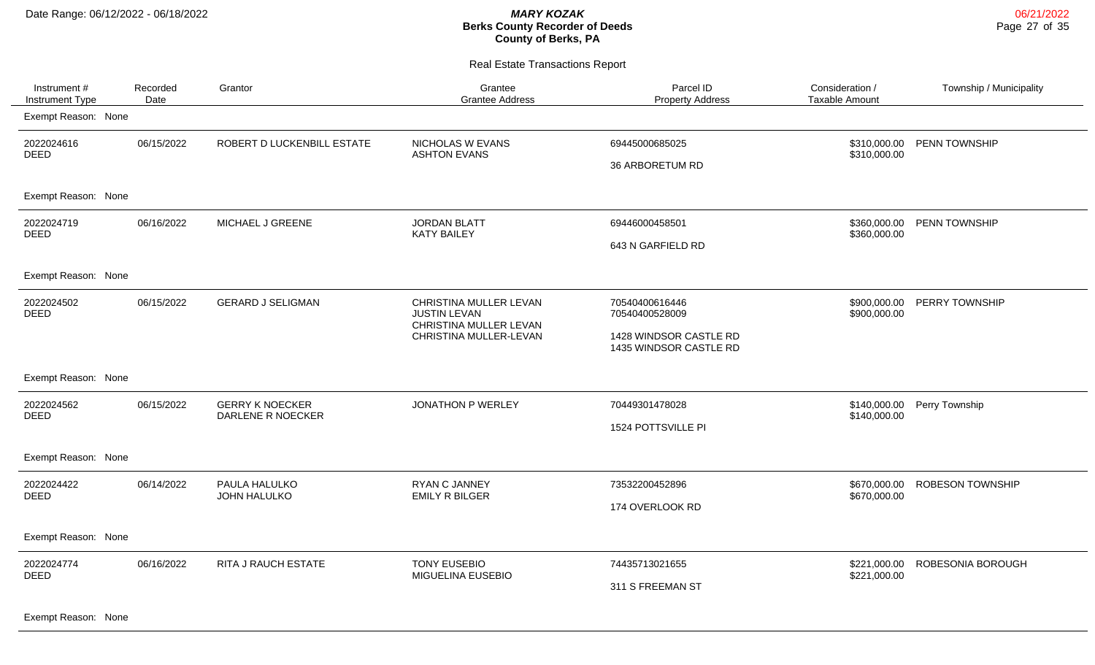Real Estate Transactions Report

| Instrument #<br>Instrument Type | Recorded<br>Date | Grantor                                     | Grantee<br><b>Grantee Address</b>                                                                 | Parcel ID<br><b>Property Address</b>                                                 | Consideration /<br><b>Taxable Amount</b> | Township / Municipality |
|---------------------------------|------------------|---------------------------------------------|---------------------------------------------------------------------------------------------------|--------------------------------------------------------------------------------------|------------------------------------------|-------------------------|
| Exempt Reason: None             |                  |                                             |                                                                                                   |                                                                                      |                                          |                         |
| 2022024616<br><b>DEED</b>       | 06/15/2022       | ROBERT D LUCKENBILL ESTATE                  | NICHOLAS W EVANS<br><b>ASHTON EVANS</b>                                                           | 69445000685025<br>36 ARBORETUM RD                                                    | \$310,000.00<br>\$310,000.00             | PENN TOWNSHIP           |
| Exempt Reason: None             |                  |                                             |                                                                                                   |                                                                                      |                                          |                         |
| 2022024719<br><b>DEED</b>       | 06/16/2022       | MICHAEL J GREENE                            | <b>JORDAN BLATT</b><br><b>KATY BAILEY</b>                                                         | 69446000458501<br>643 N GARFIELD RD                                                  | \$360,000.00<br>\$360,000.00             | <b>PENN TOWNSHIP</b>    |
| Exempt Reason: None             |                  |                                             |                                                                                                   |                                                                                      |                                          |                         |
| 2022024502<br><b>DEED</b>       | 06/15/2022       | <b>GERARD J SELIGMAN</b>                    | CHRISTINA MULLER LEVAN<br><b>JUSTIN LEVAN</b><br>CHRISTINA MULLER LEVAN<br>CHRISTINA MULLER-LEVAN | 70540400616446<br>70540400528009<br>1428 WINDSOR CASTLE RD<br>1435 WINDSOR CASTLE RD | \$900,000.00<br>\$900,000.00             | PERRY TOWNSHIP          |
| Exempt Reason: None             |                  |                                             |                                                                                                   |                                                                                      |                                          |                         |
| 2022024562<br><b>DEED</b>       | 06/15/2022       | <b>GERRY K NOECKER</b><br>DARLENE R NOECKER | JONATHON P WERLEY                                                                                 | 70449301478028<br>1524 POTTSVILLE PI                                                 | \$140,000.00<br>\$140,000.00             | Perry Township          |
| Exempt Reason: None             |                  |                                             |                                                                                                   |                                                                                      |                                          |                         |
| 2022024422<br><b>DEED</b>       | 06/14/2022       | PAULA HALULKO<br>JOHN HALULKO               | <b>RYAN C JANNEY</b><br><b>EMILY R BILGER</b>                                                     | 73532200452896<br>174 OVERLOOK RD                                                    | \$670,000.00<br>\$670,000.00             | <b>ROBESON TOWNSHIP</b> |
| Exempt Reason: None             |                  |                                             |                                                                                                   |                                                                                      |                                          |                         |
| 2022024774<br><b>DEED</b>       | 06/16/2022       | RITA J RAUCH ESTATE                         | <b>TONY EUSEBIO</b><br>MIGUELINA EUSEBIO                                                          | 74435713021655<br>311 S FREEMAN ST                                                   | \$221,000.00<br>\$221,000.00             | ROBESONIA BOROUGH       |

Exempt Reason: None

06/21/2022 Page 27 of 35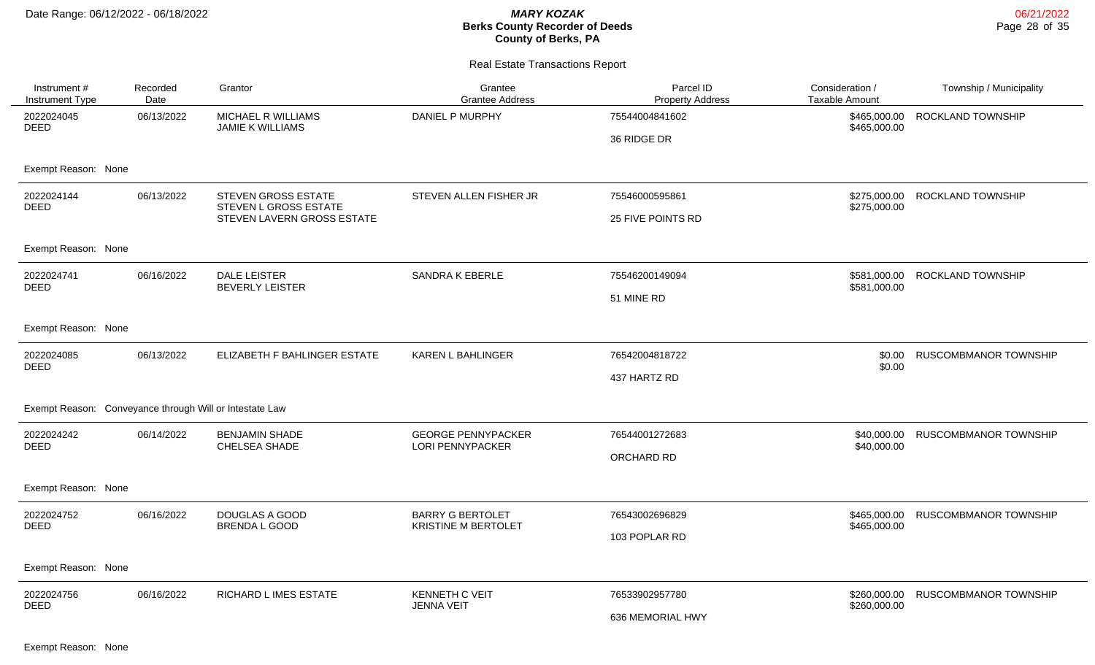| Instrument #<br>Instrument Type                         | Recorded<br>Date | Grantor                                                                           | Grantee<br><b>Grantee Address</b>                     | Parcel ID<br><b>Property Address</b>       | Consideration /<br><b>Taxable Amount</b> | Township / Municipality      |
|---------------------------------------------------------|------------------|-----------------------------------------------------------------------------------|-------------------------------------------------------|--------------------------------------------|------------------------------------------|------------------------------|
| 2022024045<br><b>DEED</b>                               | 06/13/2022       | MICHAEL R WILLIAMS<br><b>JAMIE K WILLIAMS</b>                                     | DANIEL P MURPHY                                       | 75544004841602<br>36 RIDGE DR              | \$465,000.00<br>\$465,000.00             | ROCKLAND TOWNSHIP            |
| Exempt Reason: None                                     |                  |                                                                                   |                                                       |                                            |                                          |                              |
| 2022024144<br><b>DEED</b>                               | 06/13/2022       | <b>STEVEN GROSS ESTATE</b><br>STEVEN L GROSS ESTATE<br>STEVEN LAVERN GROSS ESTATE | STEVEN ALLEN FISHER JR                                | 75546000595861<br><b>25 FIVE POINTS RD</b> | \$275,000.00<br>\$275,000.00             | ROCKLAND TOWNSHIP            |
| Exempt Reason: None                                     |                  |                                                                                   |                                                       |                                            |                                          |                              |
| 2022024741<br><b>DEED</b>                               | 06/16/2022       | <b>DALE LEISTER</b><br><b>BEVERLY LEISTER</b>                                     | <b>SANDRA K EBERLE</b>                                | 75546200149094<br>51 MINE RD               | \$581,000.00<br>\$581,000.00             | ROCKLAND TOWNSHIP            |
| Exempt Reason: None                                     |                  |                                                                                   |                                                       |                                            |                                          |                              |
| 2022024085<br><b>DEED</b>                               | 06/13/2022       | ELIZABETH F BAHLINGER ESTATE                                                      | <b>KAREN L BAHLINGER</b>                              | 76542004818722<br>437 HARTZ RD             | \$0.00<br>\$0.00                         | <b>RUSCOMBMANOR TOWNSHIP</b> |
| Exempt Reason: Conveyance through Will or Intestate Law |                  |                                                                                   |                                                       |                                            |                                          |                              |
| 2022024242<br>DEED                                      | 06/14/2022       | <b>BENJAMIN SHADE</b><br>CHELSEA SHADE                                            | <b>GEORGE PENNYPACKER</b><br><b>LORI PENNYPACKER</b>  | 76544001272683<br>ORCHARD RD               | \$40,000.00<br>\$40,000.00               | <b>RUSCOMBMANOR TOWNSHIP</b> |
| Exempt Reason: None                                     |                  |                                                                                   |                                                       |                                            |                                          |                              |
| 2022024752<br><b>DEED</b>                               | 06/16/2022       | <b>DOUGLAS A GOOD</b><br>BRENDA L GOOD                                            | <b>BARRY G BERTOLET</b><br><b>KRISTINE M BERTOLET</b> | 76543002696829<br>103 POPLAR RD            | \$465,000.00<br>\$465,000.00             | RUSCOMBMANOR TOWNSHIP        |
| Exempt Reason: None                                     |                  |                                                                                   |                                                       |                                            |                                          |                              |
| 2022024756<br><b>DEED</b>                               | 06/16/2022       | RICHARD L IMES ESTATE                                                             | <b>KENNETH C VEIT</b><br><b>JENNA VEIT</b>            | 76533902957780<br>636 MEMORIAL HWY         | \$260,000.00<br>\$260,000.00             | RUSCOMBMANOR TOWNSHIP        |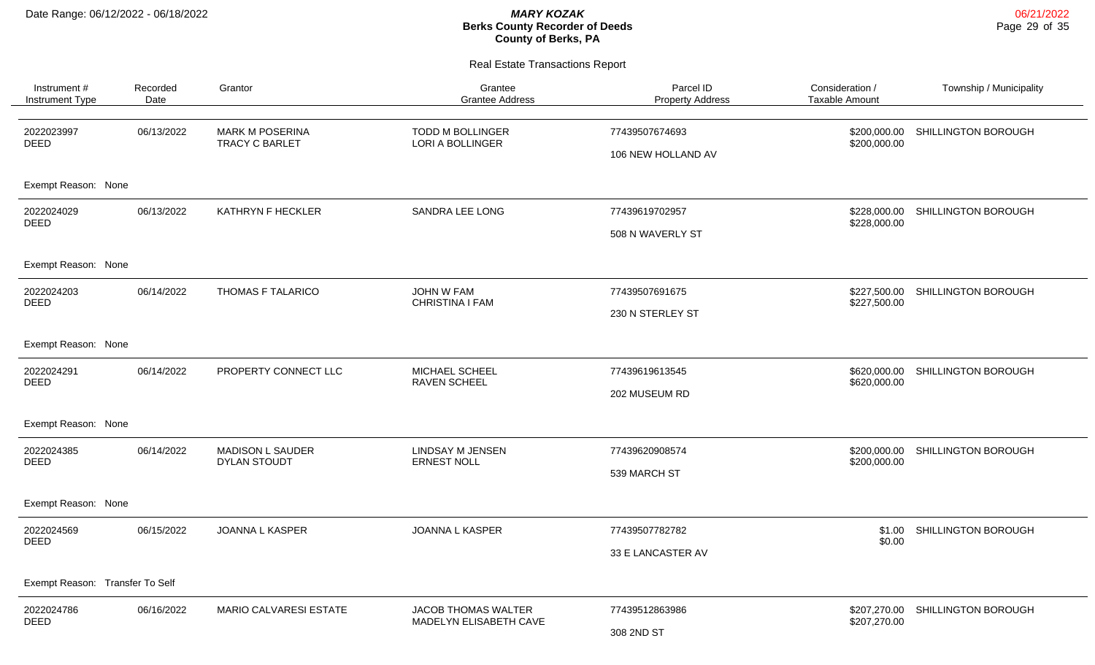| Instrument #<br>Instrument Type | Recorded<br>Date | Grantor                                         | Grantee<br><b>Grantee Address</b>             | Parcel ID<br><b>Property Address</b> | Consideration /<br><b>Taxable Amount</b> | Township / Municipality |
|---------------------------------|------------------|-------------------------------------------------|-----------------------------------------------|--------------------------------------|------------------------------------------|-------------------------|
| 2022023997<br><b>DEED</b>       | 06/13/2022       | <b>MARK M POSERINA</b><br><b>TRACY C BARLET</b> | TODD M BOLLINGER<br>LORI A BOLLINGER          | 77439507674693<br>106 NEW HOLLAND AV | \$200,000.00<br>\$200,000.00             | SHILLINGTON BOROUGH     |
| Exempt Reason: None             |                  |                                                 |                                               |                                      |                                          |                         |
| 2022024029<br><b>DEED</b>       | 06/13/2022       | KATHRYN F HECKLER                               | SANDRA LEE LONG                               | 77439619702957<br>508 N WAVERLY ST   | \$228,000.00<br>\$228,000.00             | SHILLINGTON BOROUGH     |
| Exempt Reason: None             |                  |                                                 |                                               |                                      |                                          |                         |
| 2022024203<br><b>DEED</b>       | 06/14/2022       | THOMAS F TALARICO                               | JOHN W FAM<br>CHRISTINA I FAM                 | 77439507691675<br>230 N STERLEY ST   | \$227,500.00<br>\$227,500.00             | SHILLINGTON BOROUGH     |
| Exempt Reason: None             |                  |                                                 |                                               |                                      |                                          |                         |
| 2022024291<br><b>DEED</b>       | 06/14/2022       | PROPERTY CONNECT LLC                            | MICHAEL SCHEEL<br>RAVEN SCHEEL                | 77439619613545<br>202 MUSEUM RD      | \$620,000.00<br>\$620,000.00             | SHILLINGTON BOROUGH     |
| Exempt Reason: None             |                  |                                                 |                                               |                                      |                                          |                         |
| 2022024385<br>DEED              | 06/14/2022       | <b>MADISON L SAUDER</b><br>DYLAN STOUDT         | <b>LINDSAY M JENSEN</b><br><b>ERNEST NOLL</b> | 77439620908574<br>539 MARCH ST       | \$200,000.00<br>\$200,000.00             | SHILLINGTON BOROUGH     |
| Exempt Reason: None             |                  |                                                 |                                               |                                      |                                          |                         |
| 2022024569<br><b>DEED</b>       | 06/15/2022       | JOANNA L KASPER                                 | <b>JOANNA L KASPER</b>                        | 77439507782782<br>33 E LANCASTER AV  | \$1.00<br>\$0.00                         | SHILLINGTON BOROUGH     |
| Exempt Reason: Transfer To Self |                  |                                                 |                                               |                                      |                                          |                         |
| 2022024786<br><b>DEED</b>       | 06/16/2022       | MARIO CALVARESI ESTATE                          | JACOB THOMAS WALTER<br>MADELYN ELISABETH CAVE | 77439512863986<br>308 2ND ST         | \$207,270.00<br>\$207,270.00             | SHILLINGTON BOROUGH     |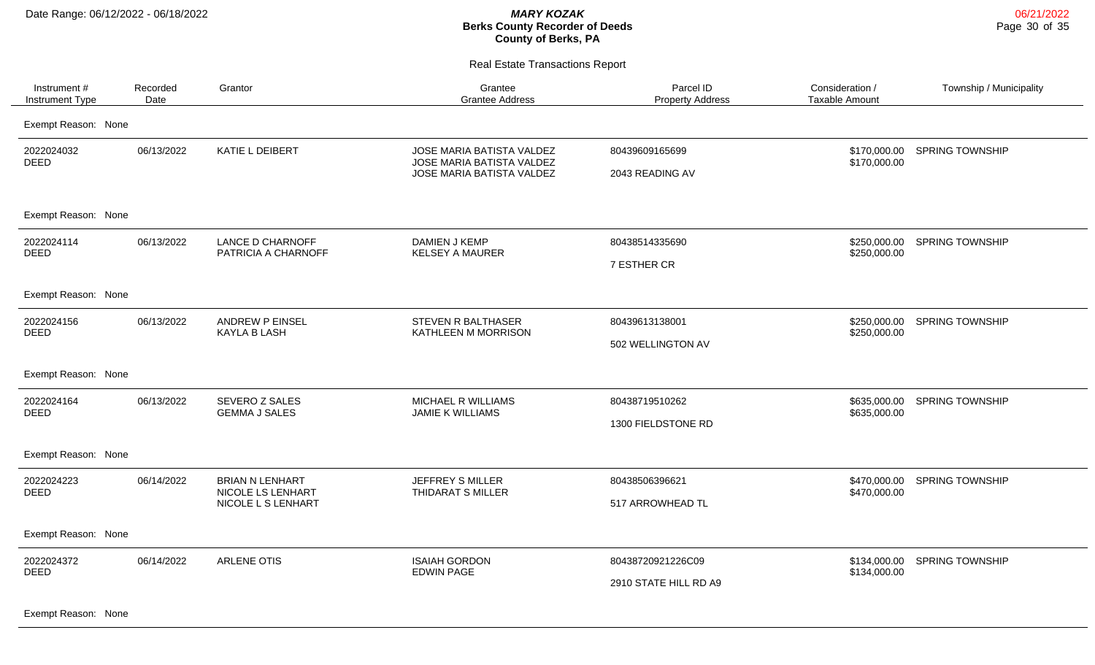Real Estate Transactions Report

| Instrument #<br>Instrument Type | Recorded<br>Date | Grantor                                                           | Grantee<br><b>Grantee Address</b>                                                   | Parcel ID<br><b>Property Address</b>       | Consideration /<br><b>Taxable Amount</b> | Township / Municipality |
|---------------------------------|------------------|-------------------------------------------------------------------|-------------------------------------------------------------------------------------|--------------------------------------------|------------------------------------------|-------------------------|
| Exempt Reason: None             |                  |                                                                   |                                                                                     |                                            |                                          |                         |
| 2022024032<br><b>DEED</b>       | 06/13/2022       | KATIE L DEIBERT                                                   | JOSE MARIA BATISTA VALDEZ<br>JOSE MARIA BATISTA VALDEZ<br>JOSE MARIA BATISTA VALDEZ | 80439609165699<br>2043 READING AV          | \$170,000.00<br>\$170,000.00             | <b>SPRING TOWNSHIP</b>  |
| Exempt Reason: None             |                  |                                                                   |                                                                                     |                                            |                                          |                         |
| 2022024114<br><b>DEED</b>       | 06/13/2022       | <b>LANCE D CHARNOFF</b><br>PATRICIA A CHARNOFF                    | DAMIEN J KEMP<br><b>KELSEY A MAURER</b>                                             | 80438514335690<br>7 ESTHER CR              | \$250,000.00<br>\$250,000.00             | <b>SPRING TOWNSHIP</b>  |
| Exempt Reason: None             |                  |                                                                   |                                                                                     |                                            |                                          |                         |
| 2022024156<br><b>DEED</b>       | 06/13/2022       | <b>ANDREW P EINSEL</b><br><b>KAYLA B LASH</b>                     | STEVEN R BALTHASER<br>KATHLEEN M MORRISON                                           | 80439613138001<br>502 WELLINGTON AV        | \$250,000.00<br>\$250,000.00             | <b>SPRING TOWNSHIP</b>  |
| Exempt Reason: None             |                  |                                                                   |                                                                                     |                                            |                                          |                         |
| 2022024164<br><b>DEED</b>       | 06/13/2022       | SEVERO Z SALES<br><b>GEMMA J SALES</b>                            | MICHAEL R WILLIAMS<br>JAMIE K WILLIAMS                                              | 80438719510262<br>1300 FIELDSTONE RD       | \$635,000.00<br>\$635,000.00             | <b>SPRING TOWNSHIP</b>  |
| Exempt Reason: None             |                  |                                                                   |                                                                                     |                                            |                                          |                         |
| 2022024223<br><b>DEED</b>       | 06/14/2022       | <b>BRIAN N LENHART</b><br>NICOLE LS LENHART<br>NICOLE L S LENHART | JEFFREY S MILLER<br>THIDARAT S MILLER                                               | 80438506396621<br>517 ARROWHEAD TL         | \$470,000.00<br>\$470,000.00             | <b>SPRING TOWNSHIP</b>  |
| Exempt Reason: None             |                  |                                                                   |                                                                                     |                                            |                                          |                         |
| 2022024372<br><b>DEED</b>       | 06/14/2022       | ARLENE OTIS                                                       | <b>ISAIAH GORDON</b><br><b>EDWIN PAGE</b>                                           | 80438720921226C09<br>2910 STATE HILL RD A9 | \$134,000.00<br>\$134,000.00             | <b>SPRING TOWNSHIP</b>  |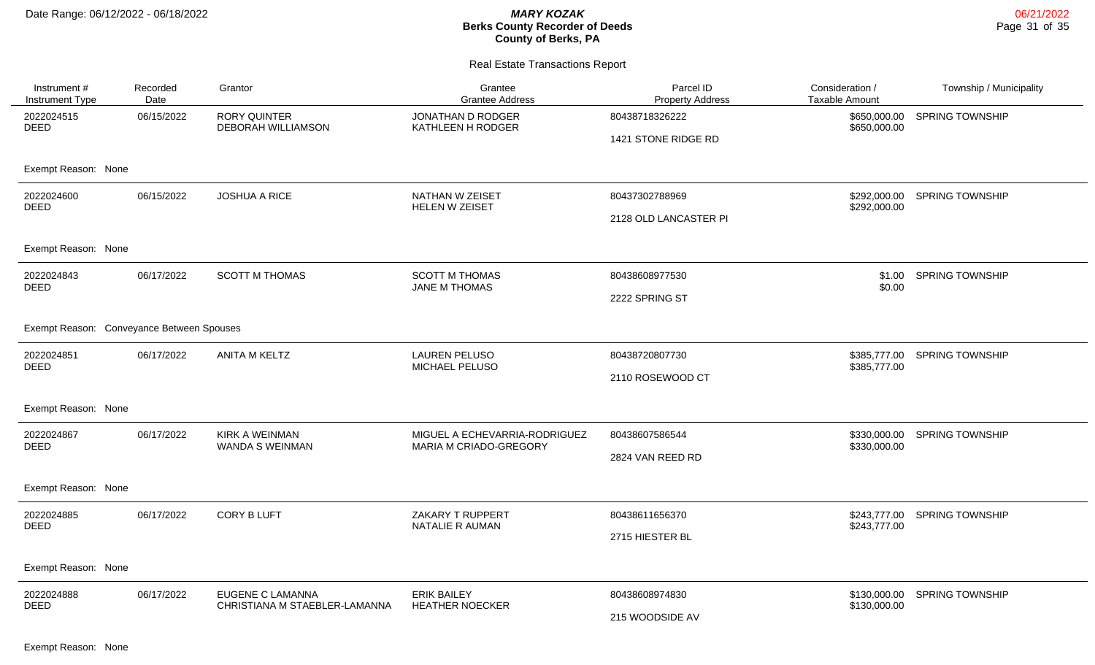### Real Estate Transactions Report

| Instrument #<br><b>Instrument Type</b>    | Recorded<br>Date | Grantor                                           | Grantee<br><b>Grantee Address</b>                       | Parcel ID<br><b>Property Address</b> | Consideration /<br><b>Taxable Amount</b> | Township / Municipality      |
|-------------------------------------------|------------------|---------------------------------------------------|---------------------------------------------------------|--------------------------------------|------------------------------------------|------------------------------|
| 2022024515<br><b>DEED</b>                 | 06/15/2022       | <b>RORY QUINTER</b><br><b>DEBORAH WILLIAMSON</b>  | JONATHAN D RODGER<br>KATHLEEN H RODGER                  | 80438718326222                       | \$650,000.00<br>\$650,000.00             | <b>SPRING TOWNSHIP</b>       |
|                                           |                  |                                                   |                                                         | 1421 STONE RIDGE RD                  |                                          |                              |
| Exempt Reason: None                       |                  |                                                   |                                                         |                                      |                                          |                              |
| 2022024600<br><b>DEED</b>                 | 06/15/2022       | <b>JOSHUA A RICE</b>                              | NATHAN W ZEISET<br>HELEN W ZEISET                       | 80437302788969                       | \$292,000.00<br>\$292,000.00             | <b>SPRING TOWNSHIP</b>       |
|                                           |                  |                                                   |                                                         | 2128 OLD LANCASTER PI                |                                          |                              |
| Exempt Reason: None                       |                  |                                                   |                                                         |                                      |                                          |                              |
| 2022024843<br><b>DEED</b>                 | 06/17/2022       | <b>SCOTT M THOMAS</b>                             | <b>SCOTT M THOMAS</b><br>JANE M THOMAS                  | 80438608977530                       | \$1.00<br>\$0.00                         | <b>SPRING TOWNSHIP</b>       |
|                                           |                  |                                                   |                                                         | 2222 SPRING ST                       |                                          |                              |
| Exempt Reason: Conveyance Between Spouses |                  |                                                   |                                                         |                                      |                                          |                              |
| 2022024851<br><b>DEED</b>                 | 06/17/2022       | ANITA M KELTZ                                     | <b>LAUREN PELUSO</b><br>MICHAEL PELUSO                  | 80438720807730                       | \$385,777.00                             | \$385,777.00 SPRING TOWNSHIP |
|                                           |                  |                                                   |                                                         | 2110 ROSEWOOD CT                     |                                          |                              |
| Exempt Reason: None                       |                  |                                                   |                                                         |                                      |                                          |                              |
| 2022024867<br><b>DEED</b>                 | 06/17/2022       | <b>KIRK A WEINMAN</b><br><b>WANDA S WEINMAN</b>   | MIGUEL A ECHEVARRIA-RODRIGUEZ<br>MARIA M CRIADO-GREGORY | 80438607586544                       | \$330,000.00<br>\$330,000.00             | <b>SPRING TOWNSHIP</b>       |
|                                           |                  |                                                   |                                                         | 2824 VAN REED RD                     |                                          |                              |
| Exempt Reason: None                       |                  |                                                   |                                                         |                                      |                                          |                              |
| 2022024885<br><b>DEED</b>                 | 06/17/2022       | <b>CORY B LUFT</b>                                | ZAKARY T RUPPERT<br>NATALIE R AUMAN                     | 80438611656370                       | \$243,777.00<br>\$243,777.00             | <b>SPRING TOWNSHIP</b>       |
|                                           |                  |                                                   |                                                         | 2715 HIESTER BL                      |                                          |                              |
| Exempt Reason: None                       |                  |                                                   |                                                         |                                      |                                          |                              |
| 2022024888<br><b>DEED</b>                 | 06/17/2022       | EUGENE C LAMANNA<br>CHRISTIANA M STAEBLER-LAMANNA | <b>ERIK BAILEY</b><br><b>HEATHER NOECKER</b>            | 80438608974830                       | \$130,000.00<br>\$130,000.00             | <b>SPRING TOWNSHIP</b>       |
|                                           |                  |                                                   |                                                         | 215 WOODSIDE AV                      |                                          |                              |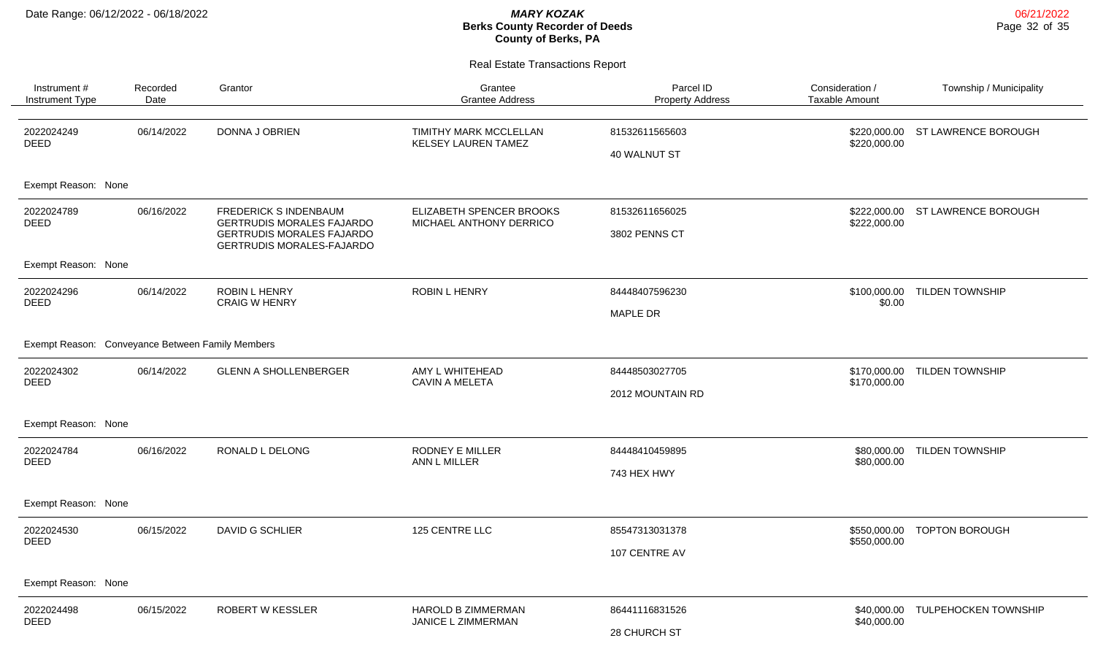| Instrument #<br>Instrument Type                  | Recorded<br>Date                      | Grantor                                                              | Grantee<br><b>Grantee Address</b>                    | Parcel ID<br><b>Property Address</b> | Consideration /<br><b>Taxable Amount</b> | Township / Municipality |
|--------------------------------------------------|---------------------------------------|----------------------------------------------------------------------|------------------------------------------------------|--------------------------------------|------------------------------------------|-------------------------|
| 2022024249<br><b>DEED</b>                        | 06/14/2022                            | DONNA J OBRIEN                                                       | TIMITHY MARK MCCLELLAN<br><b>KELSEY LAUREN TAMEZ</b> | 81532611565603<br>40 WALNUT ST       | \$220,000.00<br>\$220,000.00             | ST LAWRENCE BOROUGH     |
| Exempt Reason: None                              |                                       |                                                                      |                                                      |                                      |                                          |                         |
| 2022024789<br><b>DEED</b>                        | 06/16/2022                            | <b>FREDERICK S INDENBAUM</b><br><b>GERTRUDIS MORALES FAJARDO</b>     | ELIZABETH SPENCER BROOKS<br>MICHAEL ANTHONY DERRICO  | 81532611656025                       | \$222,000.00<br>\$222,000.00             | ST LAWRENCE BOROUGH     |
|                                                  |                                       | <b>GERTRUDIS MORALES FAJARDO</b><br><b>GERTRUDIS MORALES-FAJARDO</b> |                                                      | 3802 PENNS CT                        |                                          |                         |
| Exempt Reason: None                              |                                       |                                                                      |                                                      |                                      |                                          |                         |
| 2022024296<br>06/14/2022<br><b>DEED</b>          | ROBIN L HENRY<br><b>CRAIG W HENRY</b> | <b>ROBIN L HENRY</b>                                                 | 84448407596230                                       |                                      | \$100,000.00 TILDEN TOWNSHIP             |                         |
|                                                  |                                       |                                                                      |                                                      | <b>MAPLE DR</b>                      | \$0.00                                   |                         |
| Exempt Reason: Conveyance Between Family Members |                                       |                                                                      |                                                      |                                      |                                          |                         |
| 2022024302<br><b>DEED</b>                        | 06/14/2022                            | <b>GLENN A SHOLLENBERGER</b>                                         | AMY L WHITEHEAD<br><b>CAVIN A MELETA</b>             | 84448503027705                       | \$170,000.00<br>\$170,000.00             | <b>TILDEN TOWNSHIP</b>  |
|                                                  |                                       |                                                                      |                                                      | 2012 MOUNTAIN RD                     |                                          |                         |
| Exempt Reason: None                              |                                       |                                                                      |                                                      |                                      |                                          |                         |
| 2022024784<br><b>DEED</b>                        | 06/16/2022                            | RONALD L DELONG                                                      | <b>RODNEY E MILLER</b><br>ANN L MILLER               | 84448410459895                       | \$80,000.00<br>\$80,000.00               | <b>TILDEN TOWNSHIP</b>  |
|                                                  |                                       |                                                                      |                                                      | 743 HEX HWY                          |                                          |                         |
| Exempt Reason: None                              |                                       |                                                                      |                                                      |                                      |                                          |                         |
| 2022024530                                       | 06/15/2022                            | DAVID G SCHLIER                                                      | 125 CENTRE LLC                                       | 85547313031378                       | \$550,000.00                             | <b>TOPTON BOROUGH</b>   |
| <b>DEED</b>                                      |                                       |                                                                      |                                                      | 107 CENTRE AV                        | \$550,000.00                             |                         |
| Exempt Reason: None                              |                                       |                                                                      |                                                      |                                      |                                          |                         |
| 2022024498                                       | 06/15/2022                            | <b>ROBERT W KESSLER</b>                                              | <b>HAROLD B ZIMMERMAN</b>                            | 86441116831526                       | \$40,000.00                              | TULPEHOCKEN TOWNSHIP    |
| <b>DEED</b>                                      |                                       |                                                                      | JANICE L ZIMMERMAN                                   | 28 CHURCH ST                         | \$40,000.00                              |                         |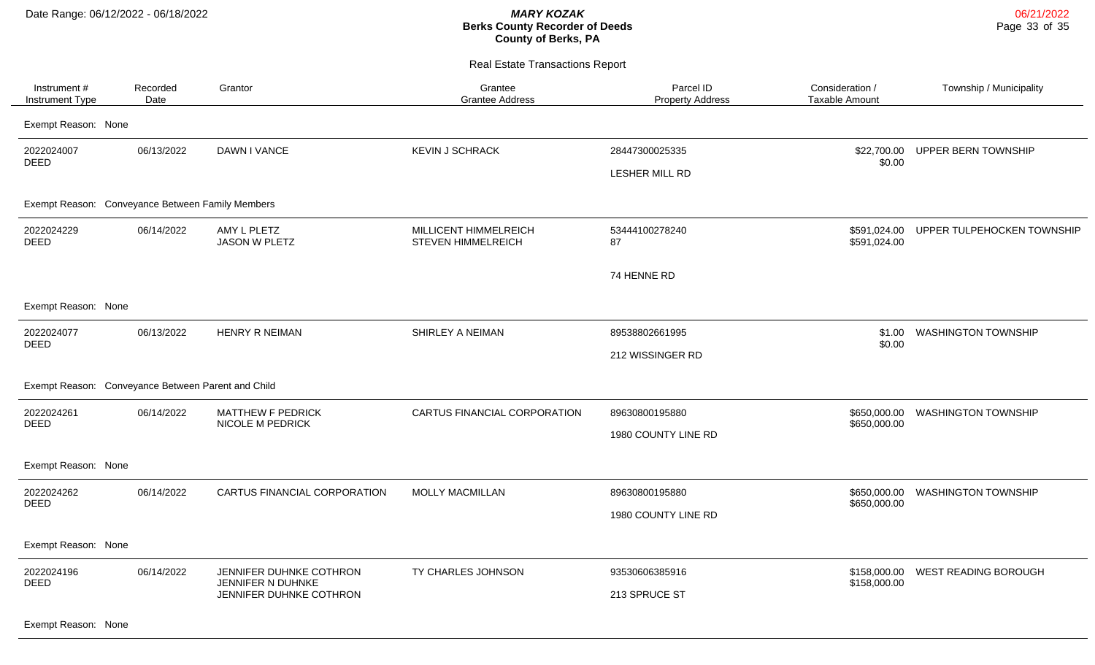Real Estate Transactions Report

| Instrument#<br>Instrument Type                     | Recorded<br>Date | Grantor                                                                 | Grantee<br><b>Grantee Address</b>                  | Parcel ID<br><b>Property Address</b>  | Consideration /<br>Taxable Amount | Township / Municipality     |
|----------------------------------------------------|------------------|-------------------------------------------------------------------------|----------------------------------------------------|---------------------------------------|-----------------------------------|-----------------------------|
| Exempt Reason: None                                |                  |                                                                         |                                                    |                                       |                                   |                             |
| 2022024007<br><b>DEED</b>                          | 06/13/2022       | DAWN I VANCE                                                            | <b>KEVIN J SCHRACK</b>                             | 28447300025335<br>LESHER MILL RD      | \$22,700.00<br>\$0.00             | UPPER BERN TOWNSHIP         |
| Exempt Reason: Conveyance Between Family Members   |                  |                                                                         |                                                    |                                       |                                   |                             |
| 2022024229<br><b>DEED</b>                          | 06/14/2022       | AMY L PLETZ<br><b>JASON W PLETZ</b>                                     | MILLICENT HIMMELREICH<br><b>STEVEN HIMMELREICH</b> | 53444100278240<br>87                  | \$591,024.00<br>\$591,024.00      | UPPER TULPEHOCKEN TOWNSHIP  |
|                                                    |                  |                                                                         |                                                    | 74 HENNE RD                           |                                   |                             |
| Exempt Reason: None                                |                  |                                                                         |                                                    |                                       |                                   |                             |
| 2022024077<br><b>DEED</b>                          | 06/13/2022       | <b>HENRY R NEIMAN</b>                                                   | SHIRLEY A NEIMAN                                   | 89538802661995<br>212 WISSINGER RD    | \$1.00<br>\$0.00                  | <b>WASHINGTON TOWNSHIP</b>  |
| Exempt Reason: Conveyance Between Parent and Child |                  |                                                                         |                                                    |                                       |                                   |                             |
| 2022024261<br><b>DEED</b>                          | 06/14/2022       | <b>MATTHEW F PEDRICK</b><br><b>NICOLE M PEDRICK</b>                     | CARTUS FINANCIAL CORPORATION                       | 89630800195880<br>1980 COUNTY LINE RD | \$650,000.00<br>\$650,000.00      | <b>WASHINGTON TOWNSHIP</b>  |
| Exempt Reason: None                                |                  |                                                                         |                                                    |                                       |                                   |                             |
| 2022024262<br><b>DEED</b>                          | 06/14/2022       | CARTUS FINANCIAL CORPORATION                                            | <b>MOLLY MACMILLAN</b>                             | 89630800195880<br>1980 COUNTY LINE RD | \$650,000.00<br>\$650,000.00      | <b>WASHINGTON TOWNSHIP</b>  |
| Exempt Reason: None                                |                  |                                                                         |                                                    |                                       |                                   |                             |
| 2022024196<br><b>DEED</b>                          | 06/14/2022       | JENNIFER DUHNKE COTHRON<br>JENNIFER N DUHNKE<br>JENNIFER DUHNKE COTHRON | TY CHARLES JOHNSON                                 | 93530606385916<br>213 SPRUCE ST       | \$158,000.00<br>\$158,000.00      | <b>WEST READING BOROUGH</b> |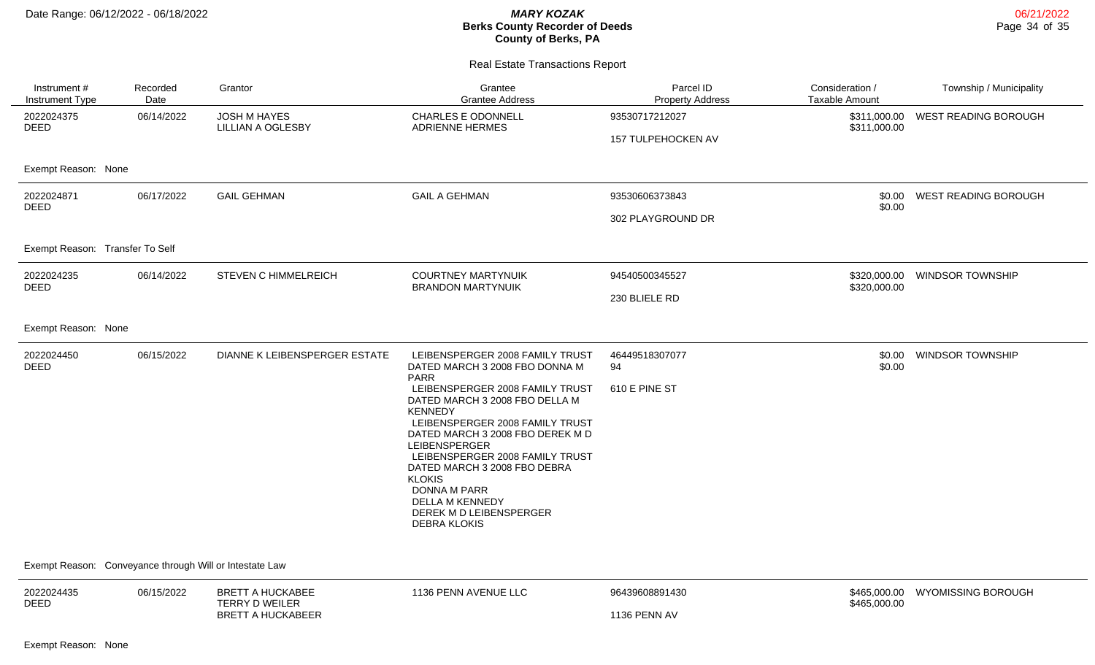| Instrument#<br>Instrument Type                          | Recorded<br>Date | Grantor                                          | Grantee<br><b>Grantee Address</b>                                                                                                                                                                                                                                                                                                                                  | Parcel ID<br><b>Property Address</b> | Consideration /<br><b>Taxable Amount</b> | Township / Municipality     |
|---------------------------------------------------------|------------------|--------------------------------------------------|--------------------------------------------------------------------------------------------------------------------------------------------------------------------------------------------------------------------------------------------------------------------------------------------------------------------------------------------------------------------|--------------------------------------|------------------------------------------|-----------------------------|
| 2022024375<br><b>DEED</b>                               | 06/14/2022       | <b>JOSH M HAYES</b><br><b>LILLIAN A OGLESBY</b>  | CHARLES E ODONNELL<br><b>ADRIENNE HERMES</b>                                                                                                                                                                                                                                                                                                                       | 93530717212027<br>157 TULPEHOCKEN AV | \$311,000.00<br>\$311,000.00             | WEST READING BOROUGH        |
| Exempt Reason: None                                     |                  |                                                  |                                                                                                                                                                                                                                                                                                                                                                    |                                      |                                          |                             |
| 2022024871<br><b>DEED</b>                               | 06/17/2022       | <b>GAIL GEHMAN</b>                               | <b>GAIL A GEHMAN</b>                                                                                                                                                                                                                                                                                                                                               | 93530606373843                       | \$0.00<br>\$0.00                         | <b>WEST READING BOROUGH</b> |
|                                                         |                  |                                                  |                                                                                                                                                                                                                                                                                                                                                                    | 302 PLAYGROUND DR                    |                                          |                             |
| Exempt Reason: Transfer To Self                         |                  |                                                  |                                                                                                                                                                                                                                                                                                                                                                    |                                      |                                          |                             |
| 2022024235<br>06/14/2022<br><b>DEED</b>                 |                  | <b>STEVEN C HIMMELREICH</b>                      | <b>COURTNEY MARTYNUIK</b><br><b>BRANDON MARTYNUIK</b>                                                                                                                                                                                                                                                                                                              | 94540500345527                       | \$320,000.00<br>\$320,000.00             | <b>WINDSOR TOWNSHIP</b>     |
|                                                         |                  |                                                  | 230 BLIELE RD                                                                                                                                                                                                                                                                                                                                                      |                                      |                                          |                             |
| Exempt Reason: None                                     |                  |                                                  |                                                                                                                                                                                                                                                                                                                                                                    |                                      |                                          |                             |
| 2022024450<br><b>DEED</b>                               | 06/15/2022       | DIANNE K LEIBENSPERGER ESTATE                    | LEIBENSPERGER 2008 FAMILY TRUST<br>DATED MARCH 3 2008 FBO DONNA M<br><b>PARR</b>                                                                                                                                                                                                                                                                                   | 46449518307077<br>94                 | \$0.00<br>\$0.00                         | <b>WINDSOR TOWNSHIP</b>     |
|                                                         |                  |                                                  | LEIBENSPERGER 2008 FAMILY TRUST<br>DATED MARCH 3 2008 FBO DELLA M<br><b>KENNEDY</b><br>LEIBENSPERGER 2008 FAMILY TRUST<br>DATED MARCH 3 2008 FBO DEREK M D<br><b>LEIBENSPERGER</b><br>LEIBENSPERGER 2008 FAMILY TRUST<br>DATED MARCH 3 2008 FBO DEBRA<br><b>KLOKIS</b><br><b>DONNA M PARR</b><br>DELLA M KENNEDY<br>DEREK M D LEIBENSPERGER<br><b>DEBRA KLOKIS</b> | 610 E PINE ST                        |                                          |                             |
| Exempt Reason: Conveyance through Will or Intestate Law |                  |                                                  |                                                                                                                                                                                                                                                                                                                                                                    |                                      |                                          |                             |
| 2022024435                                              | 06/15/2022       | <b>BRETT A HUCKABEE</b><br><b>TERRY D WEILER</b> | 1136 PENN AVENUE LLC                                                                                                                                                                                                                                                                                                                                               | 96439608891430                       | \$465,000.00<br>\$465,000.00             | <b>WYOMISSING BOROUGH</b>   |
| <b>DEED</b>                                             |                  | <b>BRETT A HUCKABEER</b>                         |                                                                                                                                                                                                                                                                                                                                                                    | <b>1136 PENN AV</b>                  |                                          |                             |